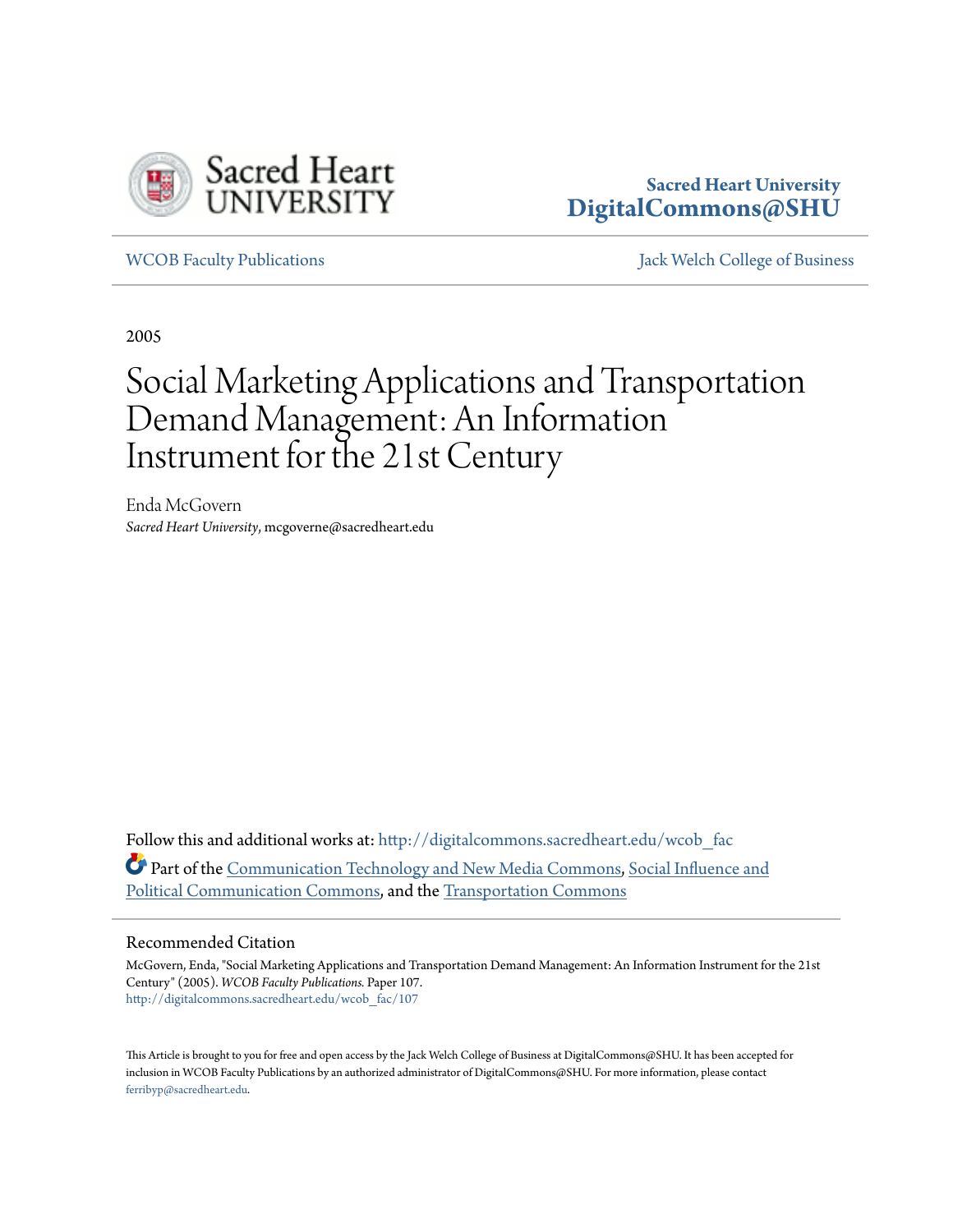

## **Sacred Heart University [DigitalCommons@SHU](http://digitalcommons.sacredheart.edu?utm_source=digitalcommons.sacredheart.edu%2Fwcob_fac%2F107&utm_medium=PDF&utm_campaign=PDFCoverPages)**

[WCOB Faculty Publications](http://digitalcommons.sacredheart.edu/wcob_fac?utm_source=digitalcommons.sacredheart.edu%2Fwcob_fac%2F107&utm_medium=PDF&utm_campaign=PDFCoverPages) [Jack Welch College of Business](http://digitalcommons.sacredheart.edu/wcob?utm_source=digitalcommons.sacredheart.edu%2Fwcob_fac%2F107&utm_medium=PDF&utm_campaign=PDFCoverPages)

2005

## Social Marketing Applications and Transportation Demand Management: An Information Instrument for the 21st Century

Enda McGovern *Sacred Heart University*, mcgoverne@sacredheart.edu

Follow this and additional works at: [http://digitalcommons.sacredheart.edu/wcob\\_fac](http://digitalcommons.sacredheart.edu/wcob_fac?utm_source=digitalcommons.sacredheart.edu%2Fwcob_fac%2F107&utm_medium=PDF&utm_campaign=PDFCoverPages) Part of the [Communication Technology and New Media Commons](http://network.bepress.com/hgg/discipline/327?utm_source=digitalcommons.sacredheart.edu%2Fwcob_fac%2F107&utm_medium=PDF&utm_campaign=PDFCoverPages), [Social Influence and](http://network.bepress.com/hgg/discipline/337?utm_source=digitalcommons.sacredheart.edu%2Fwcob_fac%2F107&utm_medium=PDF&utm_campaign=PDFCoverPages) [Political Communication Commons](http://network.bepress.com/hgg/discipline/337?utm_source=digitalcommons.sacredheart.edu%2Fwcob_fac%2F107&utm_medium=PDF&utm_campaign=PDFCoverPages), and the [Transportation Commons](http://network.bepress.com/hgg/discipline/1068?utm_source=digitalcommons.sacredheart.edu%2Fwcob_fac%2F107&utm_medium=PDF&utm_campaign=PDFCoverPages)

#### Recommended Citation

McGovern, Enda, "Social Marketing Applications and Transportation Demand Management: An Information Instrument for the 21st Century" (2005). *WCOB Faculty Publications.* Paper 107. [http://digitalcommons.sacredheart.edu/wcob\\_fac/107](http://digitalcommons.sacredheart.edu/wcob_fac/107?utm_source=digitalcommons.sacredheart.edu%2Fwcob_fac%2F107&utm_medium=PDF&utm_campaign=PDFCoverPages)

This Article is brought to you for free and open access by the Jack Welch College of Business at DigitalCommons@SHU. It has been accepted for inclusion in WCOB Faculty Publications by an authorized administrator of DigitalCommons@SHU. For more information, please contact [ferribyp@sacredheart.edu](mailto:ferribyp@sacredheart.edu).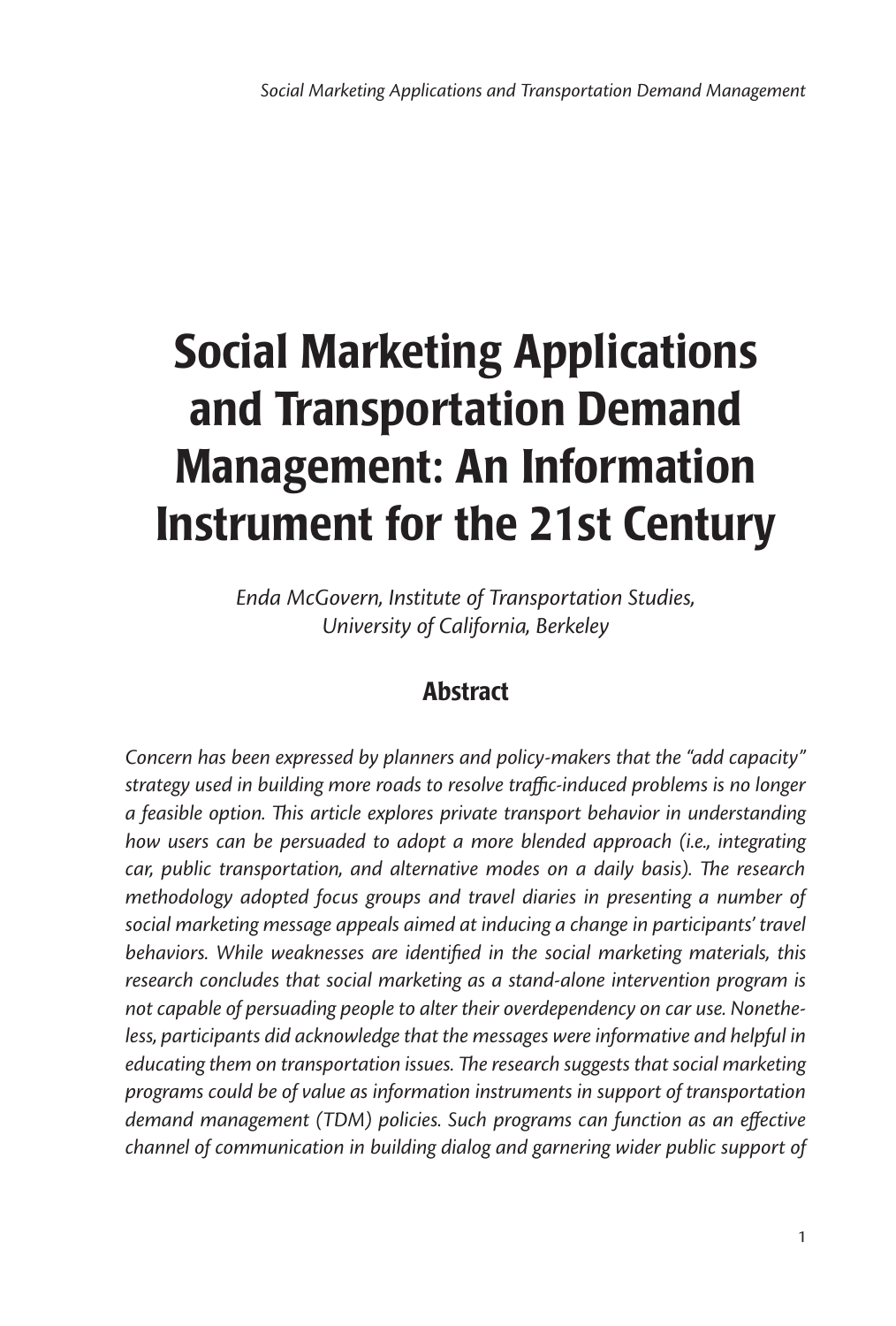# Social Marketing Applications and Transportation Demand Management: An Information Instrument for the 21st Century

*Enda McGovern, Institute of Transportation Studies, University of California, Berkeley*

## Abstract

*Concern has been expressed by planners and policy-makers that the "add capacity" strategy used in building more roads to resolve traffic-induced problems is no longer a feasible option. This article explores private transport behavior in understanding how users can be persuaded to adopt a more blended approach (i.e., integrating car, public transportation, and alternative modes on a daily basis). The research methodology adopted focus groups and travel diaries in presenting a number of social marketing message appeals aimed at inducing a change in participants' travel behaviors. While weaknesses are identified in the social marketing materials, this*  research concludes that social marketing as a stand-alone intervention program is *not capable of persuading people to alter their overdependency on car use. Nonethe*less, participants did acknowledge that the messages were informative and helpful in *educating them on transportation issues. The research suggests that social marketing programs could be of value as information instruments in support of transportation demand management (TDM) policies. Such programs can function as an effective channel of communication in building dialog and garnering wider public support of*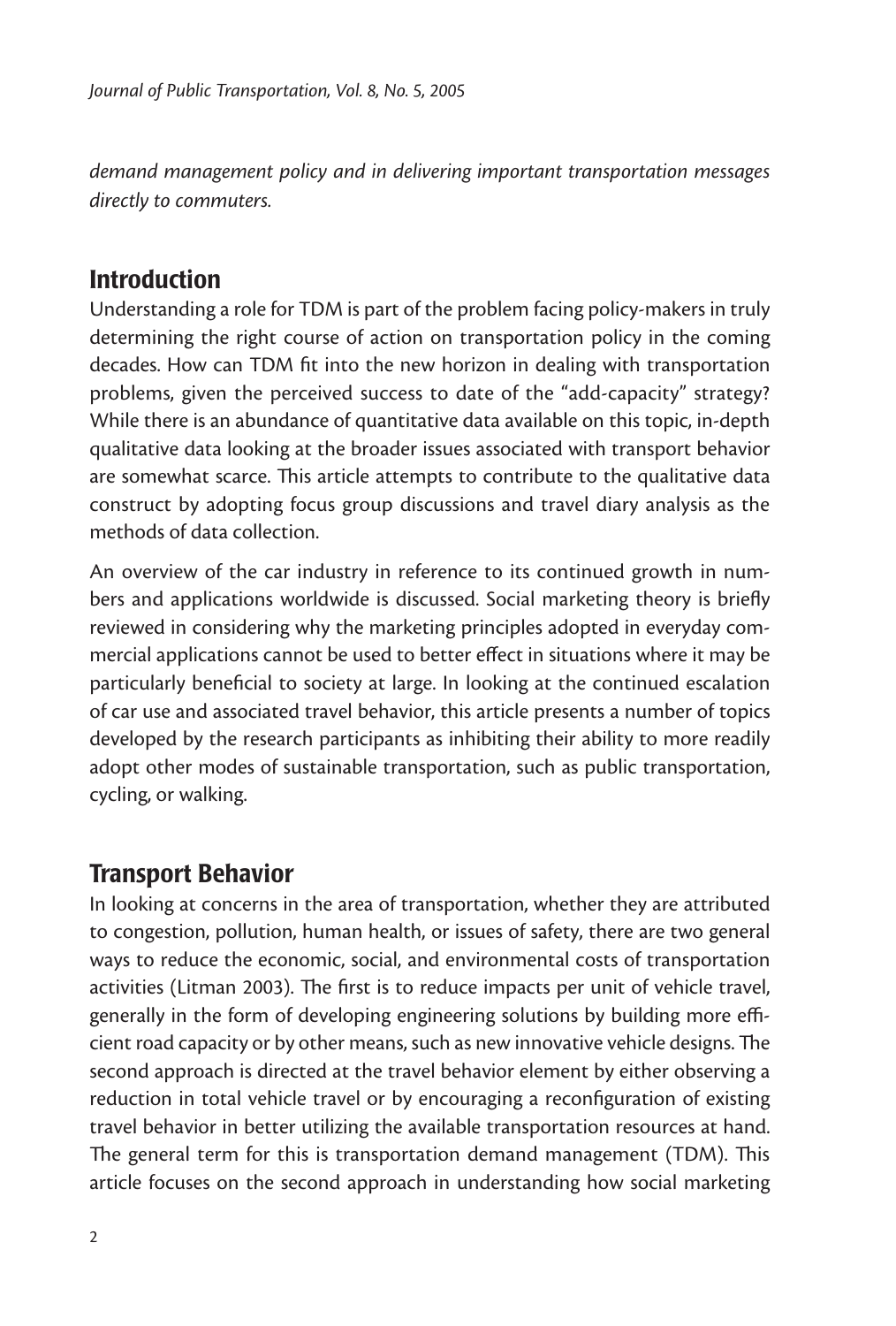*demand management policy and in delivering important transportation messages directly to commuters.* 

## Introduction

Understanding a role for TDM is part of the problem facing policy-makers in truly determining the right course of action on transportation policy in the coming decades. How can TDM fit into the new horizon in dealing with transportation problems, given the perceived success to date of the "add-capacity" strategy? While there is an abundance of quantitative data available on this topic, in-depth qualitative data looking at the broader issues associated with transport behavior are somewhat scarce. This article attempts to contribute to the qualitative data construct by adopting focus group discussions and travel diary analysis as the methods of data collection.

An overview of the car industry in reference to its continued growth in numbers and applications worldwide is discussed. Social marketing theory is briefly reviewed in considering why the marketing principles adopted in everyday commercial applications cannot be used to better effect in situations where it may be particularly beneficial to society at large. In looking at the continued escalation of car use and associated travel behavior, this article presents a number of topics developed by the research participants as inhibiting their ability to more readily adopt other modes of sustainable transportation, such as public transportation, cycling, or walking.

## Transport Behavior

In looking at concerns in the area of transportation, whether they are attributed to congestion, pollution, human health, or issues of safety, there are two general ways to reduce the economic, social, and environmental costs of transportation activities (Litman 2003). The first is to reduce impacts per unit of vehicle travel, generally in the form of developing engineering solutions by building more efficient road capacity or by other means, such as new innovative vehicle designs. The second approach is directed at the travel behavior element by either observing a reduction in total vehicle travel or by encouraging a reconfiguration of existing travel behavior in better utilizing the available transportation resources at hand. The general term for this is transportation demand management (TDM). This article focuses on the second approach in understanding how social marketing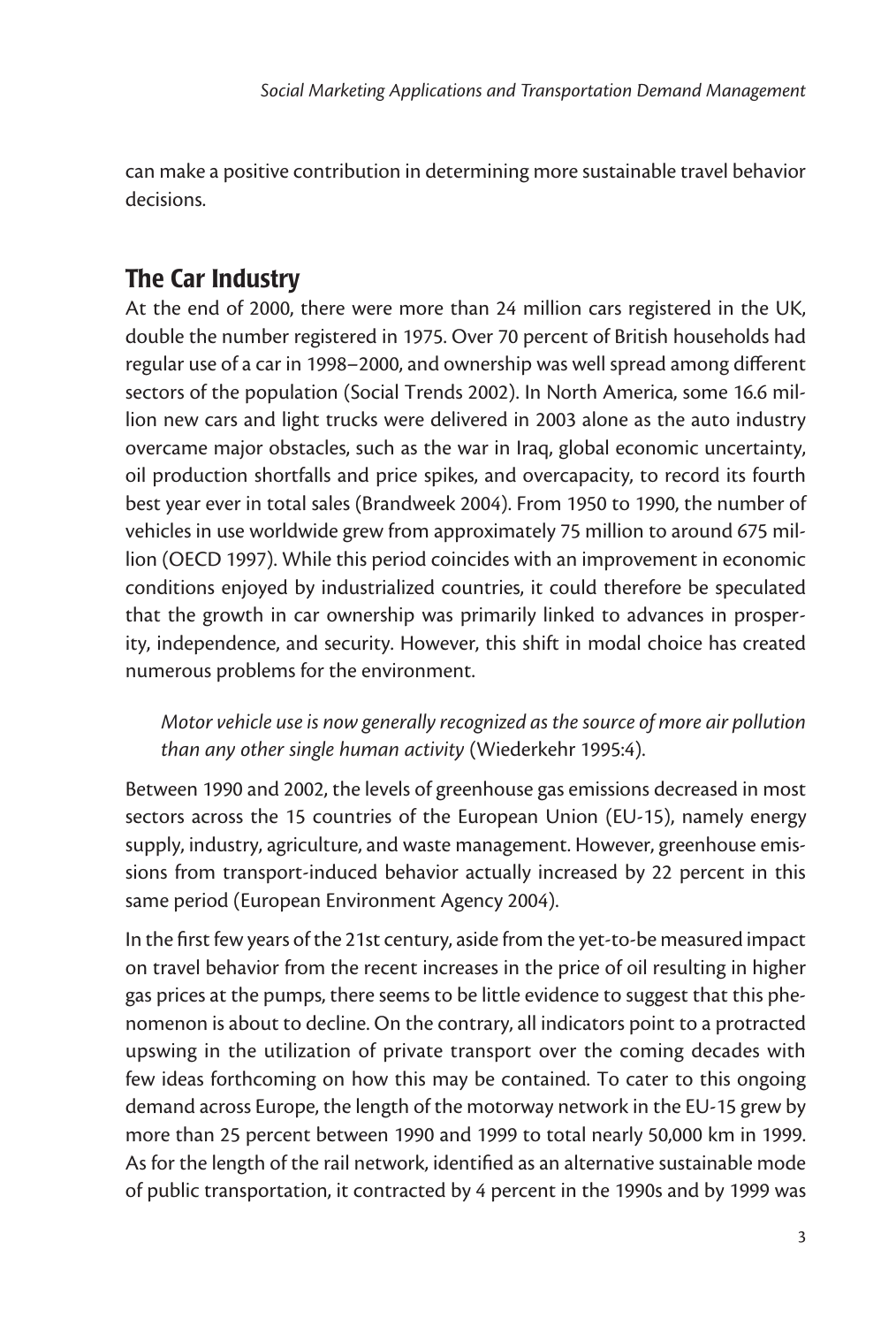can make a positive contribution in determining more sustainable travel behavior decisions.

## The Car Industry

At the end of 2000, there were more than 24 million cars registered in the UK, double the number registered in 1975. Over 70 percent of British households had regular use of a car in 1998–2000, and ownership was well spread among different sectors of the population (Social Trends 2002). In North America, some 16.6 million new cars and light trucks were delivered in 2003 alone as the auto industry overcame major obstacles, such as the war in Iraq, global economic uncertainty, oil production shortfalls and price spikes, and overcapacity, to record its fourth best year ever in total sales (Brandweek 2004). From 1950 to 1990, the number of vehicles in use worldwide grew from approximately 75 million to around 675 million (OECD 1997). While this period coincides with an improvement in economic conditions enjoyed by industrialized countries, it could therefore be speculated that the growth in car ownership was primarily linked to advances in prosperity, independence, and security. However, this shift in modal choice has created numerous problems for the environment.

*Motor vehicle use is now generally recognized as the source of more air pollution than any other single human activity* (Wiederkehr 1995:4).

Between 1990 and 2002, the levels of greenhouse gas emissions decreased in most sectors across the 15 countries of the European Union (EU-15), namely energy supply, industry, agriculture, and waste management. However, greenhouse emissions from transport-induced behavior actually increased by 22 percent in this same period (European Environment Agency 2004).

In the first few years of the 21st century, aside from the yet-to-be measured impact on travel behavior from the recent increases in the price of oil resulting in higher gas prices at the pumps, there seems to be little evidence to suggest that this phenomenon is about to decline. On the contrary, all indicators point to a protracted upswing in the utilization of private transport over the coming decades with few ideas forthcoming on how this may be contained. To cater to this ongoing demand across Europe, the length of the motorway network in the EU-15 grew by more than 25 percent between 1990 and 1999 to total nearly 50,000 km in 1999. As for the length of the rail network, identified as an alternative sustainable mode of public transportation, it contracted by 4 percent in the 1990s and by 1999 was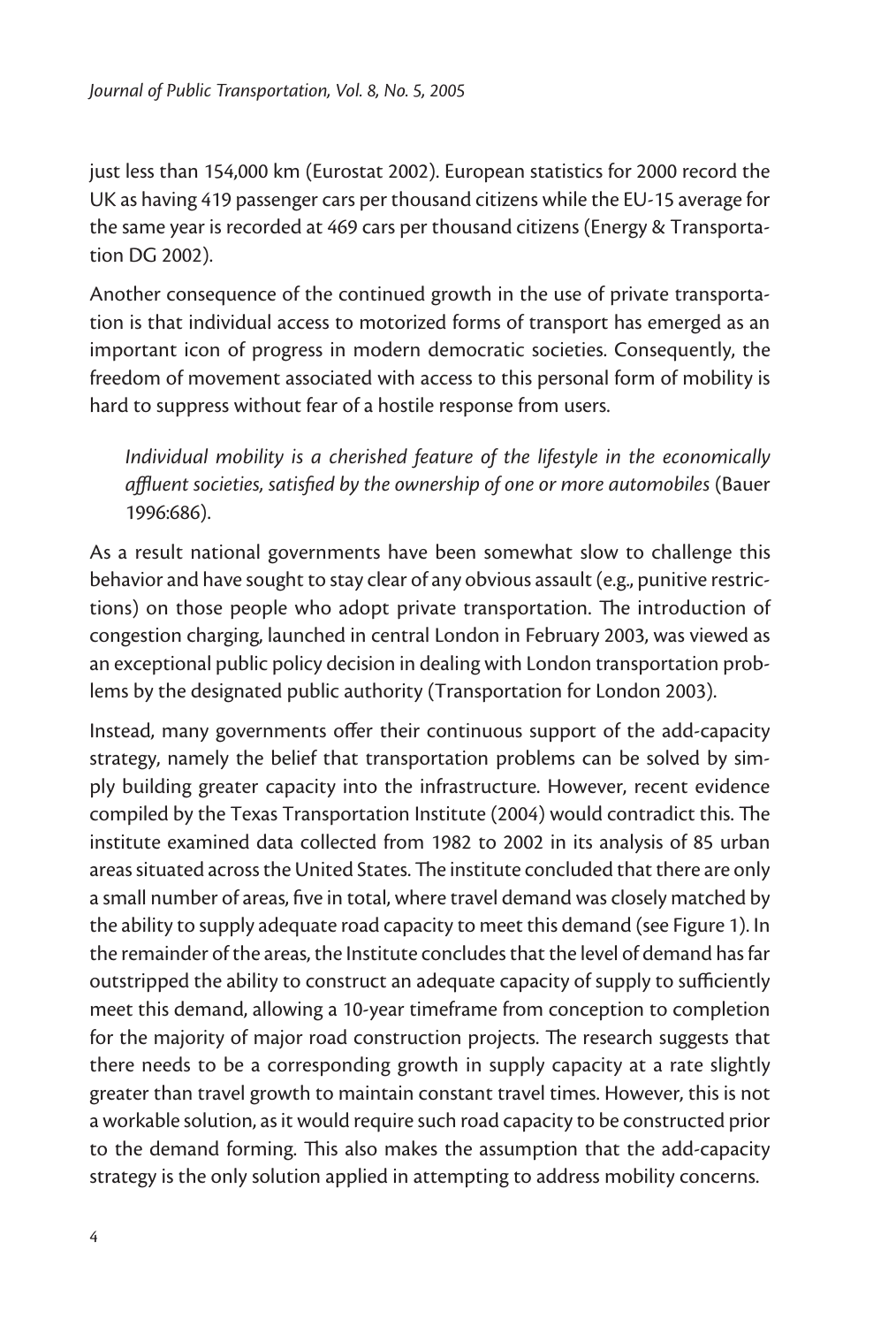just less than 154,000 km (Eurostat 2002). European statistics for 2000 record the UK as having 419 passenger cars per thousand citizens while the EU-15 average for the same year is recorded at 469 cars per thousand citizens (Energy & Transportation DG 2002).

Another consequence of the continued growth in the use of private transportation is that individual access to motorized forms of transport has emerged as an important icon of progress in modern democratic societies. Consequently, the freedom of movement associated with access to this personal form of mobility is hard to suppress without fear of a hostile response from users.

*Individual mobility is a cherished feature of the lifestyle in the economically affluent societies, satisfied by the ownership of one or more automobiles* (Bauer 1996:686).

As a result national governments have been somewhat slow to challenge this behavior and have sought to stay clear of any obvious assault (e.g., punitive restrictions) on those people who adopt private transportation. The introduction of congestion charging, launched in central London in February 2003, was viewed as an exceptional public policy decision in dealing with London transportation problems by the designated public authority (Transportation for London 2003).

Instead, many governments offer their continuous support of the add-capacity strategy, namely the belief that transportation problems can be solved by simply building greater capacity into the infrastructure. However, recent evidence compiled by the Texas Transportation Institute (2004) would contradict this. The institute examined data collected from 1982 to 2002 in its analysis of 85 urban areas situated across the United States. The institute concluded that there are only a small number of areas, five in total, where travel demand was closely matched by the ability to supply adequate road capacity to meet this demand (see Figure 1). In the remainder of the areas, the Institute concludes that the level of demand has far outstripped the ability to construct an adequate capacity of supply to sufficiently meet this demand, allowing a 10-year timeframe from conception to completion for the majority of major road construction projects. The research suggests that there needs to be a corresponding growth in supply capacity at a rate slightly greater than travel growth to maintain constant travel times. However, this is not a workable solution, as it would require such road capacity to be constructed prior to the demand forming. This also makes the assumption that the add-capacity strategy is the only solution applied in attempting to address mobility concerns.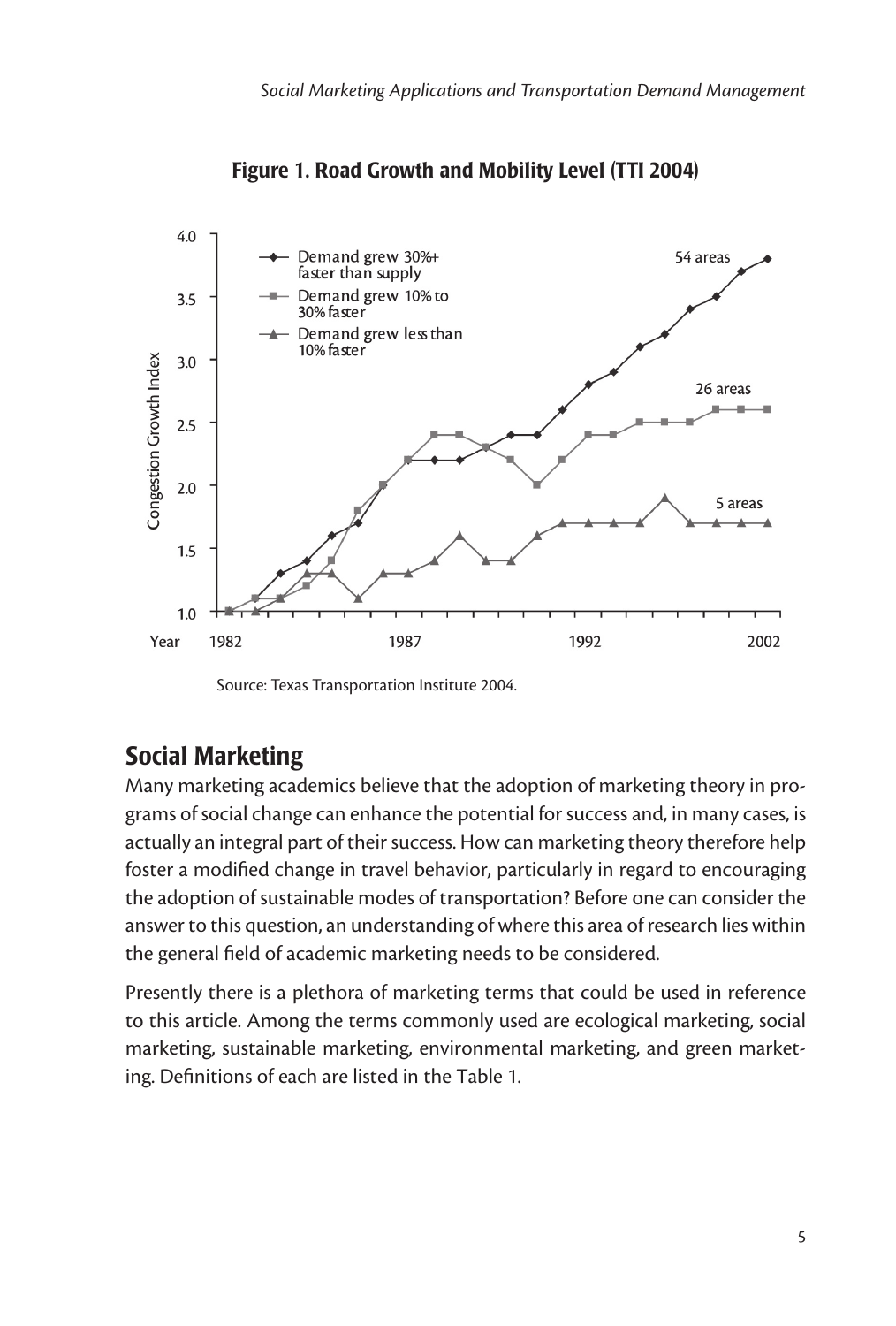

Figure 1. Road Growth and Mobility Level (TTI 2004)

## Social Marketing

Many marketing academics believe that the adoption of marketing theory in programs of social change can enhance the potential for success and, in many cases, is actually an integral part of their success. How can marketing theory therefore help foster a modified change in travel behavior, particularly in regard to encouraging the adoption of sustainable modes of transportation? Before one can consider the answer to this question, an understanding of where this area of research lies within the general field of academic marketing needs to be considered.

Presently there is a plethora of marketing terms that could be used in reference to this article. Among the terms commonly used are ecological marketing, social marketing, sustainable marketing, environmental marketing, and green marketing. Definitions of each are listed in the Table 1.

Source: Texas Transportation Institute 2004.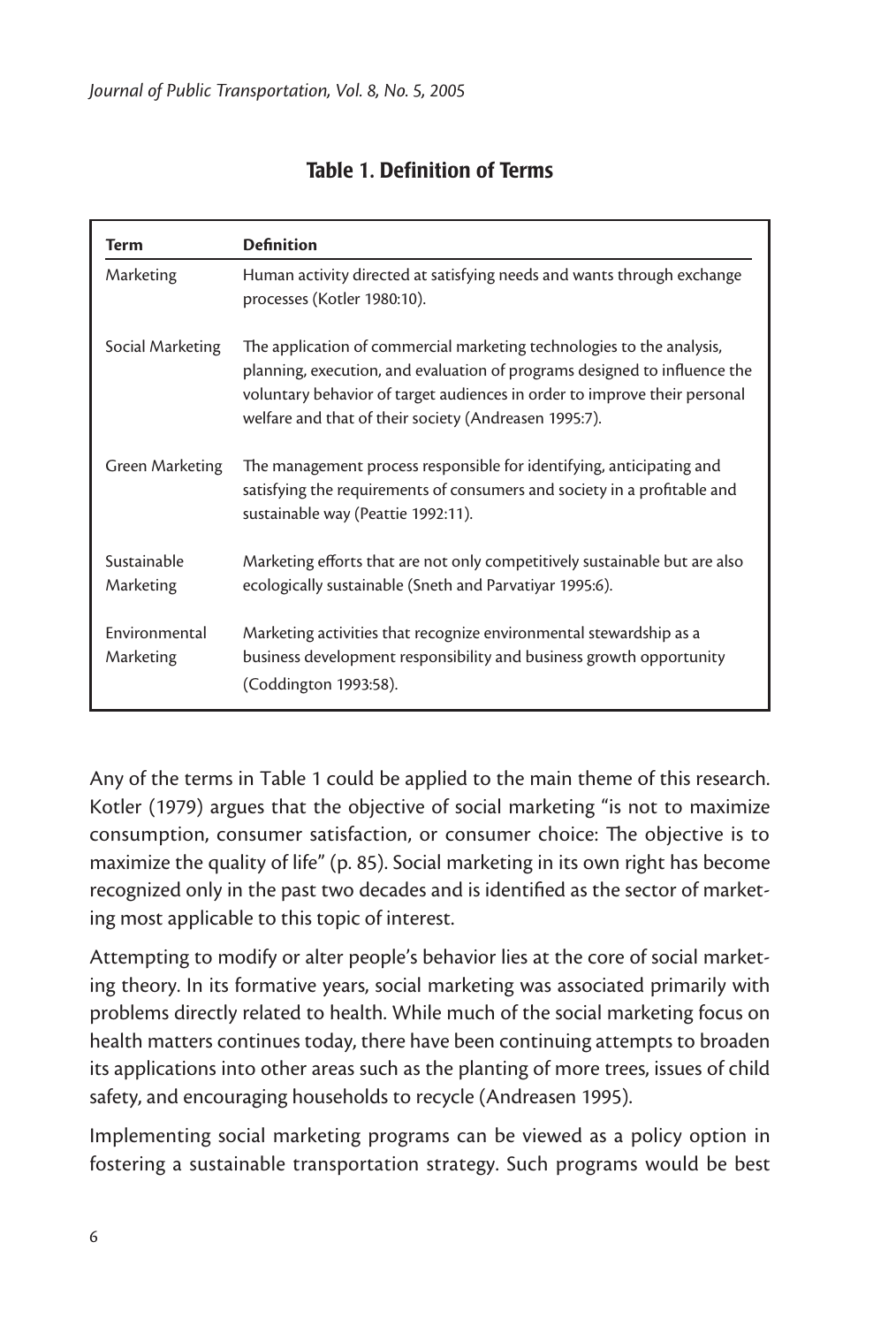| Term                       | <b>Definition</b>                                                                                                                                                                                                                                                                        |
|----------------------------|------------------------------------------------------------------------------------------------------------------------------------------------------------------------------------------------------------------------------------------------------------------------------------------|
| Marketing                  | Human activity directed at satisfying needs and wants through exchange<br>processes (Kotler 1980:10).                                                                                                                                                                                    |
| Social Marketing           | The application of commercial marketing technologies to the analysis,<br>planning, execution, and evaluation of programs designed to influence the<br>voluntary behavior of target audiences in order to improve their personal<br>welfare and that of their society (Andreasen 1995:7). |
| Green Marketing            | The management process responsible for identifying, anticipating and<br>satisfying the requirements of consumers and society in a profitable and<br>sustainable way (Peattie 1992:11).                                                                                                   |
| Sustainable<br>Marketing   | Marketing efforts that are not only competitively sustainable but are also<br>ecologically sustainable (Sneth and Parvatiyar 1995:6).                                                                                                                                                    |
| Environmental<br>Marketing | Marketing activities that recognize environmental stewardship as a<br>business development responsibility and business growth opportunity<br>(Coddington 1993:58).                                                                                                                       |

#### Table 1. Definition of Terms

Any of the terms in Table 1 could be applied to the main theme of this research. Kotler (1979) argues that the objective of social marketing "is not to maximize consumption, consumer satisfaction, or consumer choice: The objective is to maximize the quality of life" (p. 85). Social marketing in its own right has become recognized only in the past two decades and is identified as the sector of marketing most applicable to this topic of interest.

Attempting to modify or alter people's behavior lies at the core of social marketing theory. In its formative years, social marketing was associated primarily with problems directly related to health. While much of the social marketing focus on health matters continues today, there have been continuing attempts to broaden its applications into other areas such as the planting of more trees, issues of child safety, and encouraging households to recycle (Andreasen 1995).

Implementing social marketing programs can be viewed as a policy option in fostering a sustainable transportation strategy. Such programs would be best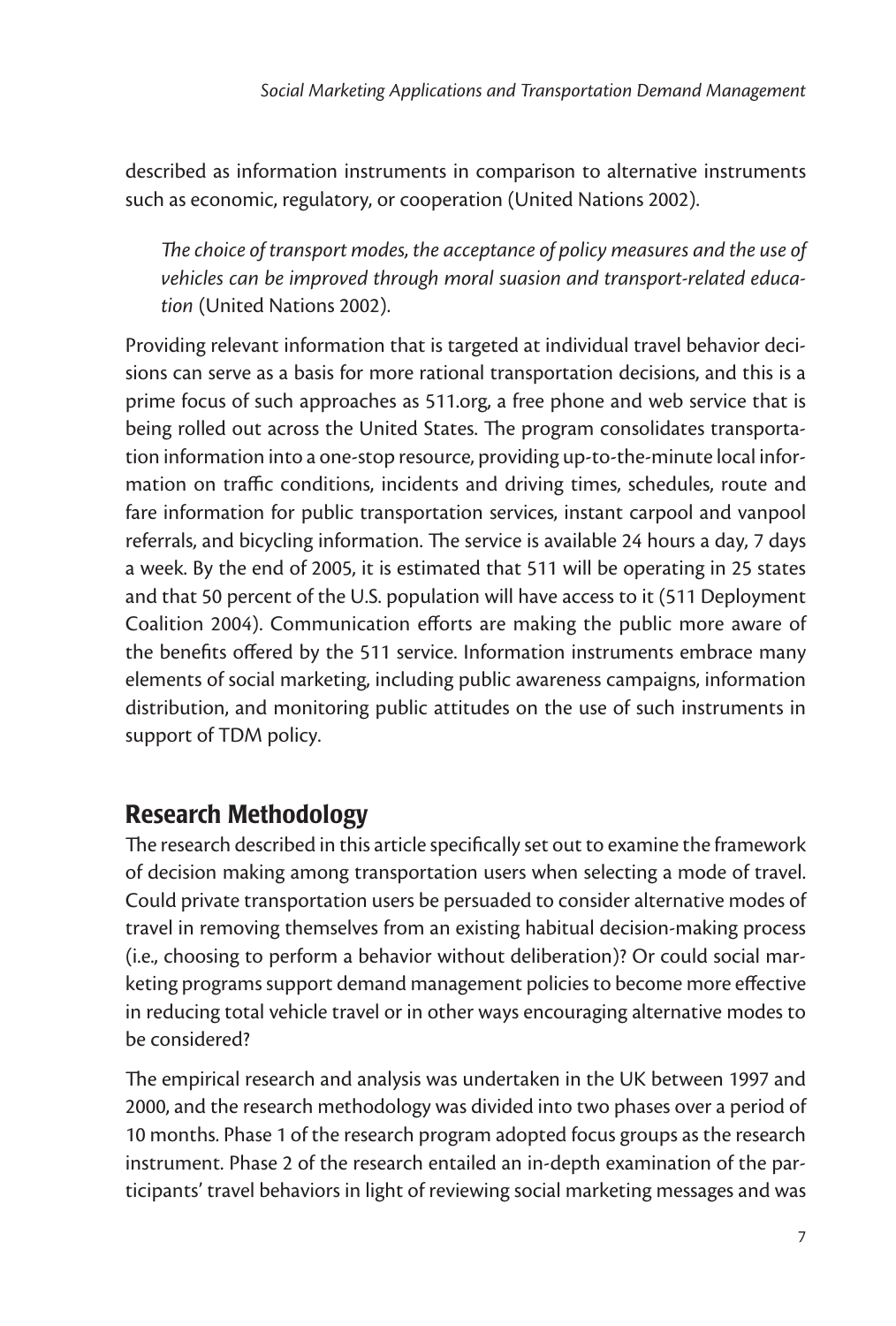described as information instruments in comparison to alternative instruments such as economic, regulatory, or cooperation (United Nations 2002).

*The choice of transport modes, the acceptance of policy measures and the use of vehicles can be improved through moral suasion and transport-related education* (United Nations 2002).

Providing relevant information that is targeted at individual travel behavior decisions can serve as a basis for more rational transportation decisions, and this is a prime focus of such approaches as 511.org, a free phone and web service that is being rolled out across the United States. The program consolidates transportation information into a one-stop resource, providing up-to-the-minute local information on traffic conditions, incidents and driving times, schedules, route and fare information for public transportation services, instant carpool and vanpool referrals, and bicycling information. The service is available 24 hours a day, 7 days a week. By the end of 2005, it is estimated that 511 will be operating in 25 states and that 50 percent of the U.S. population will have access to it (511 Deployment Coalition 2004). Communication efforts are making the public more aware of the benefits offered by the 511 service. Information instruments embrace many elements of social marketing, including public awareness campaigns, information distribution, and monitoring public attitudes on the use of such instruments in support of TDM policy.

## Research Methodology

The research described in this article specifically set out to examine the framework of decision making among transportation users when selecting a mode of travel. Could private transportation users be persuaded to consider alternative modes of travel in removing themselves from an existing habitual decision-making process (i.e., choosing to perform a behavior without deliberation)? Or could social marketing programs support demand management policies to become more effective in reducing total vehicle travel or in other ways encouraging alternative modes to be considered?

The empirical research and analysis was undertaken in the UK between 1997 and 2000, and the research methodology was divided into two phases over a period of 10 months. Phase 1 of the research program adopted focus groups as the research instrument. Phase 2 of the research entailed an in-depth examination of the participants' travel behaviors in light of reviewing social marketing messages and was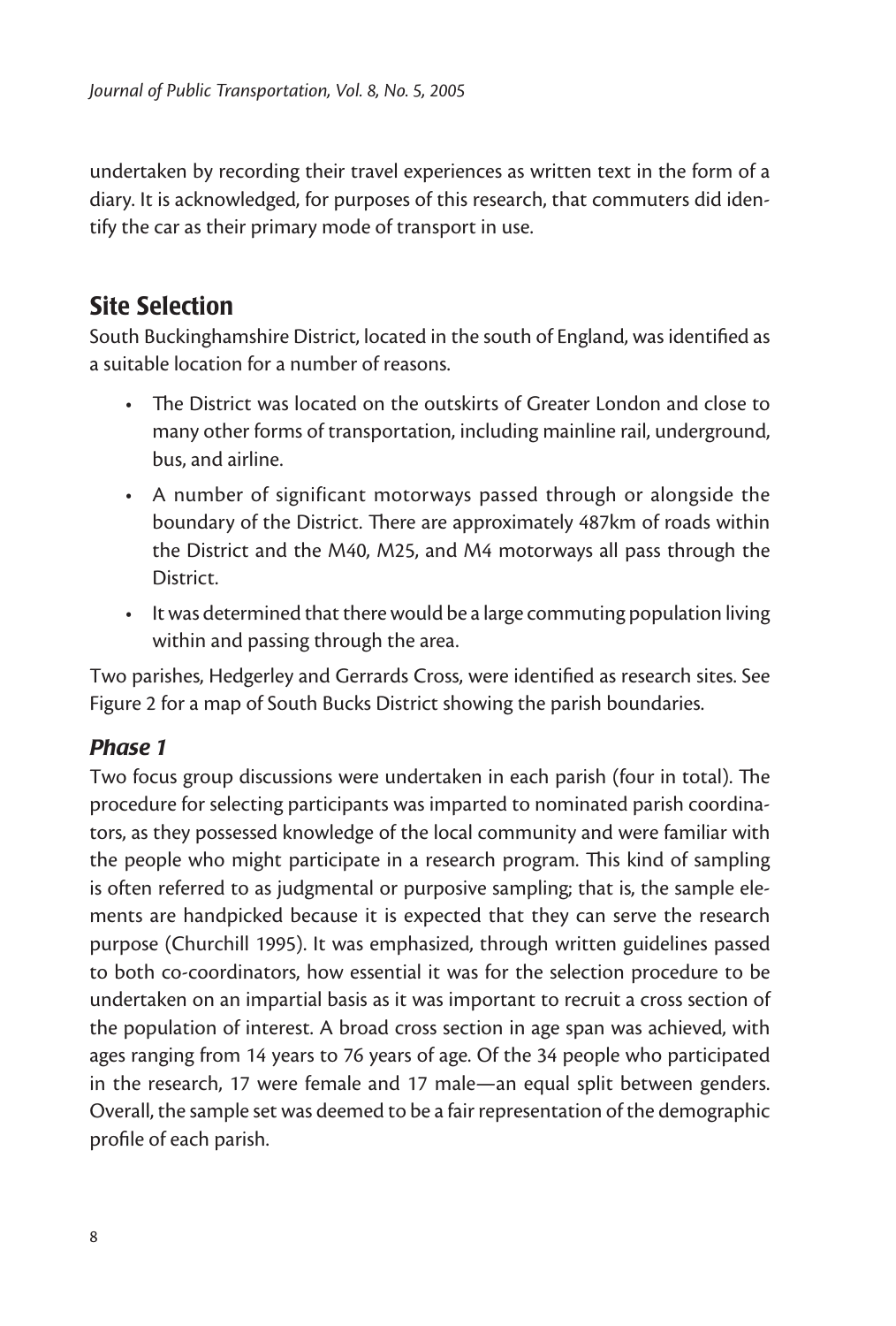undertaken by recording their travel experiences as written text in the form of a diary. It is acknowledged, for purposes of this research, that commuters did identify the car as their primary mode of transport in use.

## Site Selection

South Buckinghamshire District, located in the south of England, was identified as a suitable location for a number of reasons.

- The District was located on the outskirts of Greater London and close to many other forms of transportation, including mainline rail, underground, bus, and airline.
- A number of significant motorways passed through or alongside the boundary of the District. There are approximately 487km of roads within the District and the M40, M25, and M4 motorways all pass through the District.
- It was determined that there would be a large commuting population living within and passing through the area.

Two parishes, Hedgerley and Gerrards Cross, were identified as research sites. See Figure 2 for a map of South Bucks District showing the parish boundaries.

#### *Phase 1*

Two focus group discussions were undertaken in each parish (four in total). The procedure for selecting participants was imparted to nominated parish coordinators, as they possessed knowledge of the local community and were familiar with the people who might participate in a research program. This kind of sampling is often referred to as judgmental or purposive sampling; that is, the sample elements are handpicked because it is expected that they can serve the research purpose (Churchill 1995). It was emphasized, through written guidelines passed to both co-coordinators, how essential it was for the selection procedure to be undertaken on an impartial basis as it was important to recruit a cross section of the population of interest. A broad cross section in age span was achieved, with ages ranging from 14 years to 76 years of age. Of the 34 people who participated in the research, 17 were female and 17 male—an equal split between genders. Overall, the sample set was deemed to be a fair representation of the demographic profile of each parish.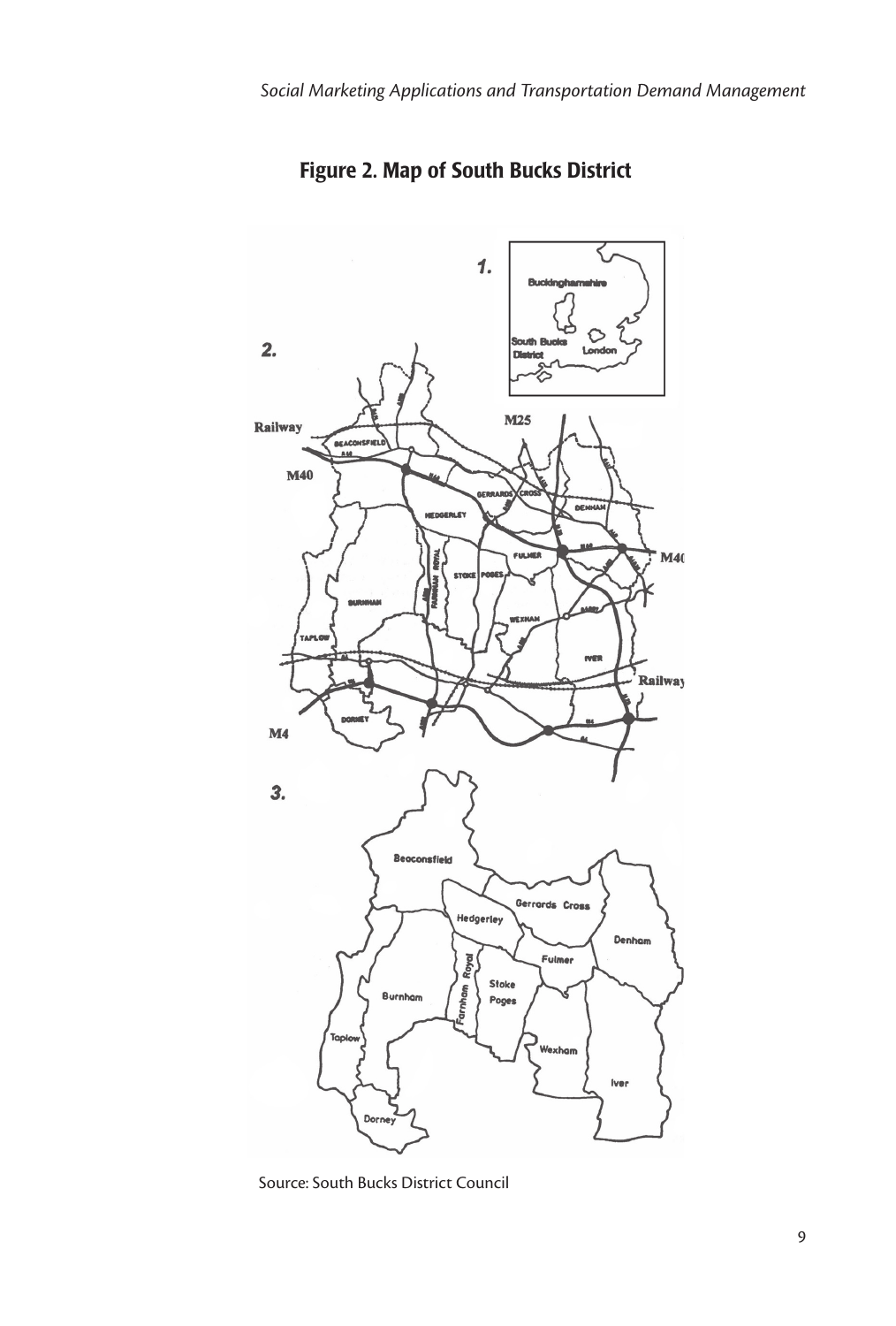

Figure 2. Map of South Bucks District

Source: South Bucks District Council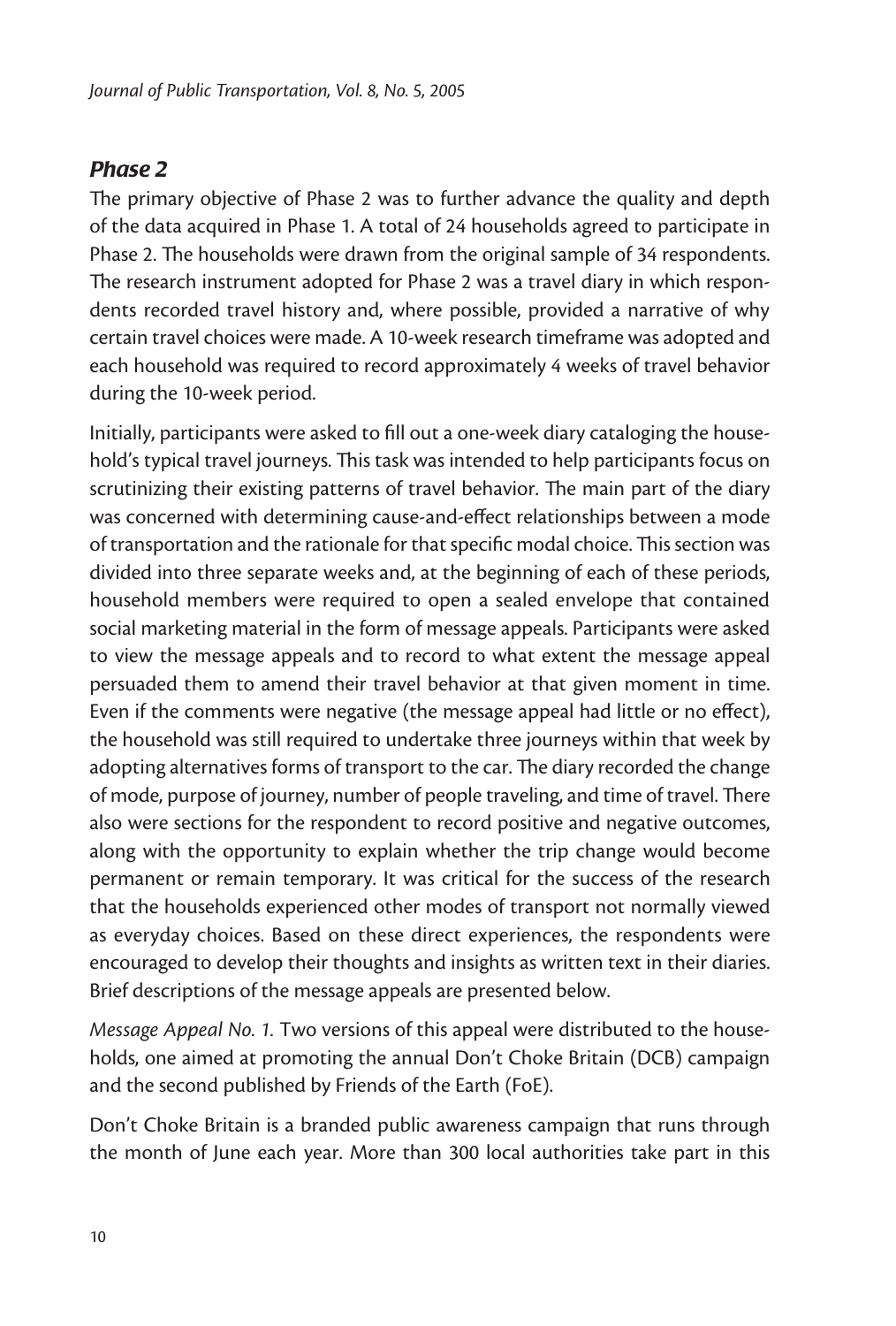#### *Phase 2*

The primary objective of Phase 2 was to further advance the quality and depth of the data acquired in Phase 1. A total of 24 households agreed to participate in Phase 2. The households were drawn from the original sample of 34 respondents. The research instrument adopted for Phase 2 was a travel diary in which respondents recorded travel history and, where possible, provided a narrative of why certain travel choices were made. A 10-week research timeframe was adopted and each household was required to record approximately 4 weeks of travel behavior during the 10-week period.

Initially, participants were asked to fill out a one-week diary cataloging the household's typical travel journeys. This task was intended to help participants focus on scrutinizing their existing patterns of travel behavior. The main part of the diary was concerned with determining cause-and-effect relationships between a mode of transportation and the rationale for that specific modal choice. This section was divided into three separate weeks and, at the beginning of each of these periods, household members were required to open a sealed envelope that contained social marketing material in the form of message appeals. Participants were asked to view the message appeals and to record to what extent the message appeal persuaded them to amend their travel behavior at that given moment in time. Even if the comments were negative (the message appeal had little or no effect), the household was still required to undertake three journeys within that week by adopting alternatives forms of transport to the car. The diary recorded the change of mode, purpose of journey, number of people traveling, and time of travel. There also were sections for the respondent to record positive and negative outcomes, along with the opportunity to explain whether the trip change would become permanent or remain temporary. It was critical for the success of the research that the households experienced other modes of transport not normally viewed as everyday choices. Based on these direct experiences, the respondents were encouraged to develop their thoughts and insights as written text in their diaries. Brief descriptions of the message appeals are presented below.

*Message Appeal No. 1.* Two versions of this appeal were distributed to the households, one aimed at promoting the annual Don't Choke Britain (DCB) campaign and the second published by Friends of the Earth (FoE).

Don't Choke Britain is a branded public awareness campaign that runs through the month of June each year. More than 300 local authorities take part in this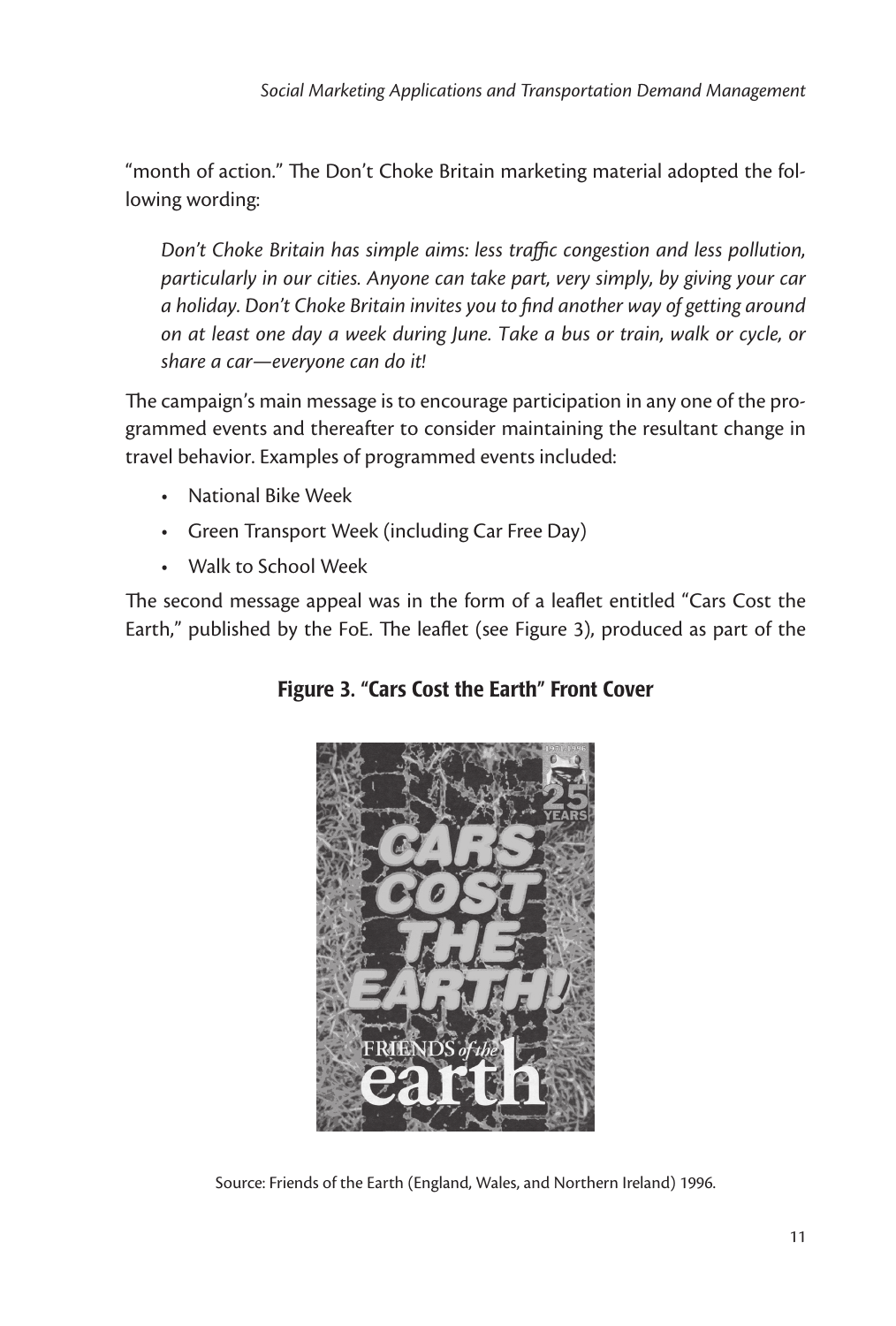"month of action." The Don't Choke Britain marketing material adopted the following wording:

*Don't Choke Britain has simple aims: less traffic congestion and less pollution, particularly in our cities. Anyone can take part, very simply, by giving your car a holiday. Don't Choke Britain invites you to find another way of getting around on at least one day a week during June. Take a bus or train, walk or cycle, or share a car—everyone can do it!*

The campaign's main message is to encourage participation in any one of the programmed events and thereafter to consider maintaining the resultant change in travel behavior. Examples of programmed events included:

- National Bike Week
- Green Transport Week (including Car Free Day)
- Walk to School Week

The second message appeal was in the form of a leaflet entitled "Cars Cost the Earth," published by the FoE. The leaflet (see Figure 3), produced as part of the



Figure 3. "Cars Cost the Earth" Front Cover

Source: Friends of the Earth (England, Wales, and Northern Ireland) 1996.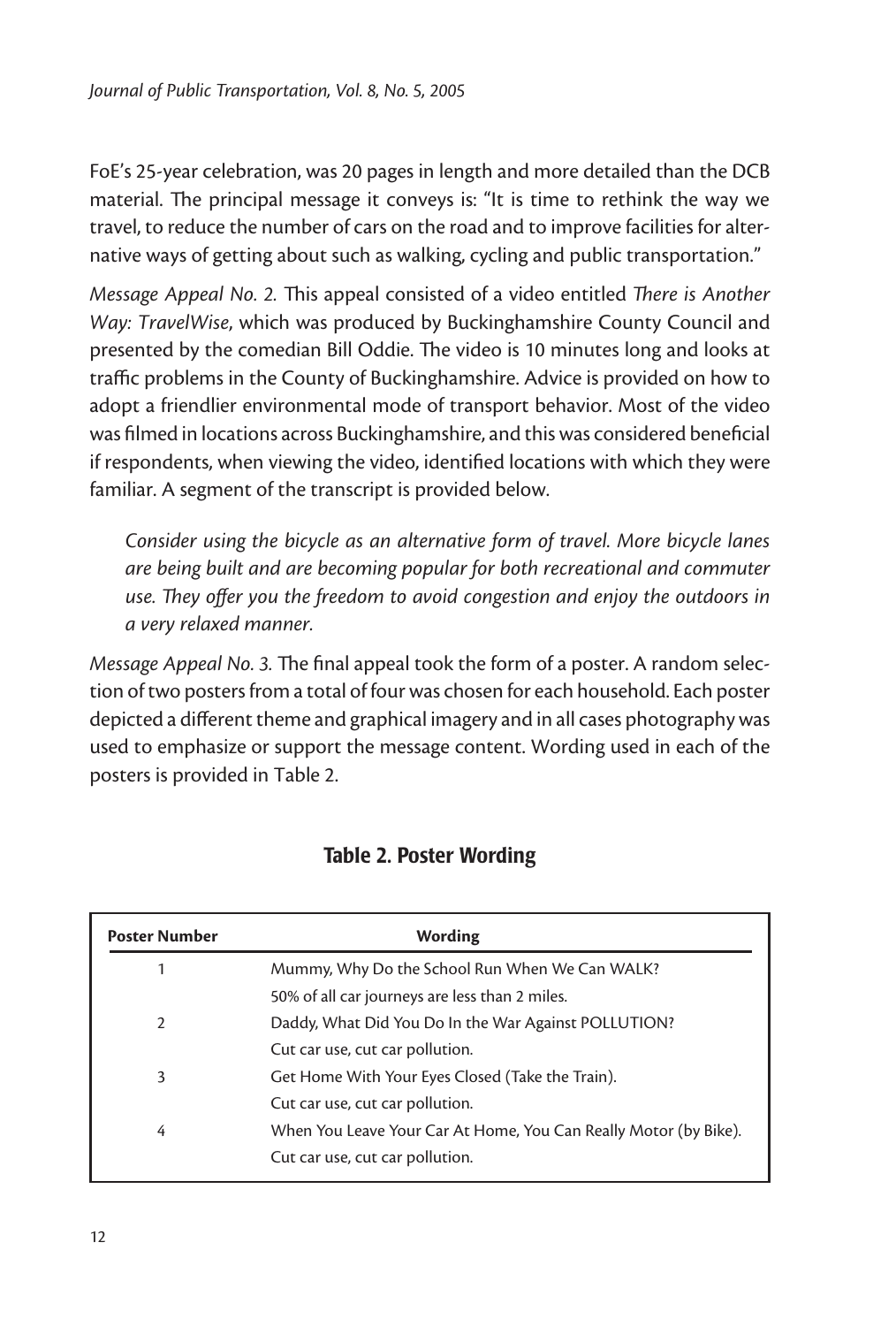FoE's 25-year celebration, was 20 pages in length and more detailed than the DCB material. The principal message it conveys is: "It is time to rethink the way we travel, to reduce the number of cars on the road and to improve facilities for alternative ways of getting about such as walking, cycling and public transportation."

*Message Appeal No. 2.* This appeal consisted of a video entitled *There is Another Way: TravelWise*, which was produced by Buckinghamshire County Council and presented by the comedian Bill Oddie. The video is 10 minutes long and looks at traffic problems in the County of Buckinghamshire. Advice is provided on how to adopt a friendlier environmental mode of transport behavior. Most of the video was filmed in locations across Buckinghamshire, and this was considered beneficial if respondents, when viewing the video, identified locations with which they were familiar. A segment of the transcript is provided below.

*Consider using the bicycle as an alternative form of travel. More bicycle lanes are being built and are becoming popular for both recreational and commuter use. They offer you the freedom to avoid congestion and enjoy the outdoors in a very relaxed manner.* 

*Message Appeal No. 3.* The final appeal took the form of a poster. A random selection of two posters from a total of four was chosen for each household. Each poster depicted a different theme and graphical imagery and in all cases photography was used to emphasize or support the message content. Wording used in each of the posters is provided in Table 2.

| <b>Poster Number</b> | Wording                                                          |
|----------------------|------------------------------------------------------------------|
|                      | Mummy, Why Do the School Run When We Can WALK?                   |
|                      | 50% of all car journeys are less than 2 miles.                   |
| $\mathcal{P}$        | Daddy, What Did You Do In the War Against POLLUTION?             |
|                      | Cut car use, cut car pollution.                                  |
| 3                    | Get Home With Your Eyes Closed (Take the Train).                 |
|                      | Cut car use, cut car pollution.                                  |
| 4                    | When You Leave Your Car At Home, You Can Really Motor (by Bike). |
|                      | Cut car use, cut car pollution.                                  |

#### Table 2. Poster Wording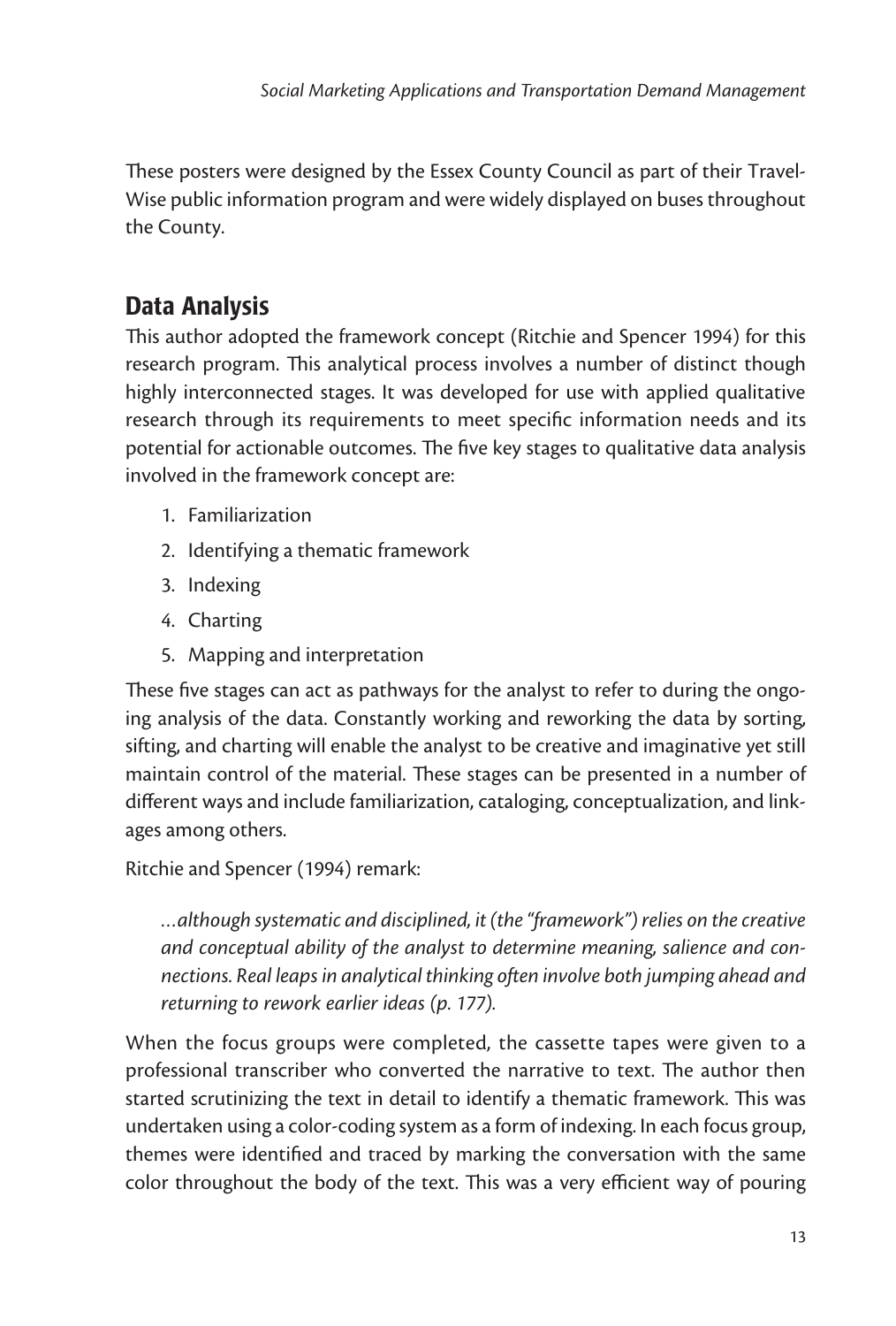These posters were designed by the Essex County Council as part of their Travel-Wise public information program and were widely displayed on buses throughout the County.

## Data Analysis

This author adopted the framework concept (Ritchie and Spencer 1994) for this research program. This analytical process involves a number of distinct though highly interconnected stages. It was developed for use with applied qualitative research through its requirements to meet specific information needs and its potential for actionable outcomes. The five key stages to qualitative data analysis involved in the framework concept are:

- 1. Familiarization
- 2. Identifying a thematic framework
- 3. Indexing
- 4. Charting
- 5. Mapping and interpretation

These five stages can act as pathways for the analyst to refer to during the ongoing analysis of the data. Constantly working and reworking the data by sorting, sifting, and charting will enable the analyst to be creative and imaginative yet still maintain control of the material. These stages can be presented in a number of different ways and include familiarization, cataloging, conceptualization, and linkages among others.

Ritchie and Spencer (1994) remark:

*…although systematic and disciplined, it (the "framework") relies on the creative and conceptual ability of the analyst to determine meaning, salience and connections. Real leaps in analytical thinking often involve both jumping ahead and returning to rework earlier ideas (p. 177).* 

When the focus groups were completed, the cassette tapes were given to a professional transcriber who converted the narrative to text. The author then started scrutinizing the text in detail to identify a thematic framework. This was undertaken using a color-coding system as a form of indexing. In each focus group, themes were identified and traced by marking the conversation with the same color throughout the body of the text. This was a very efficient way of pouring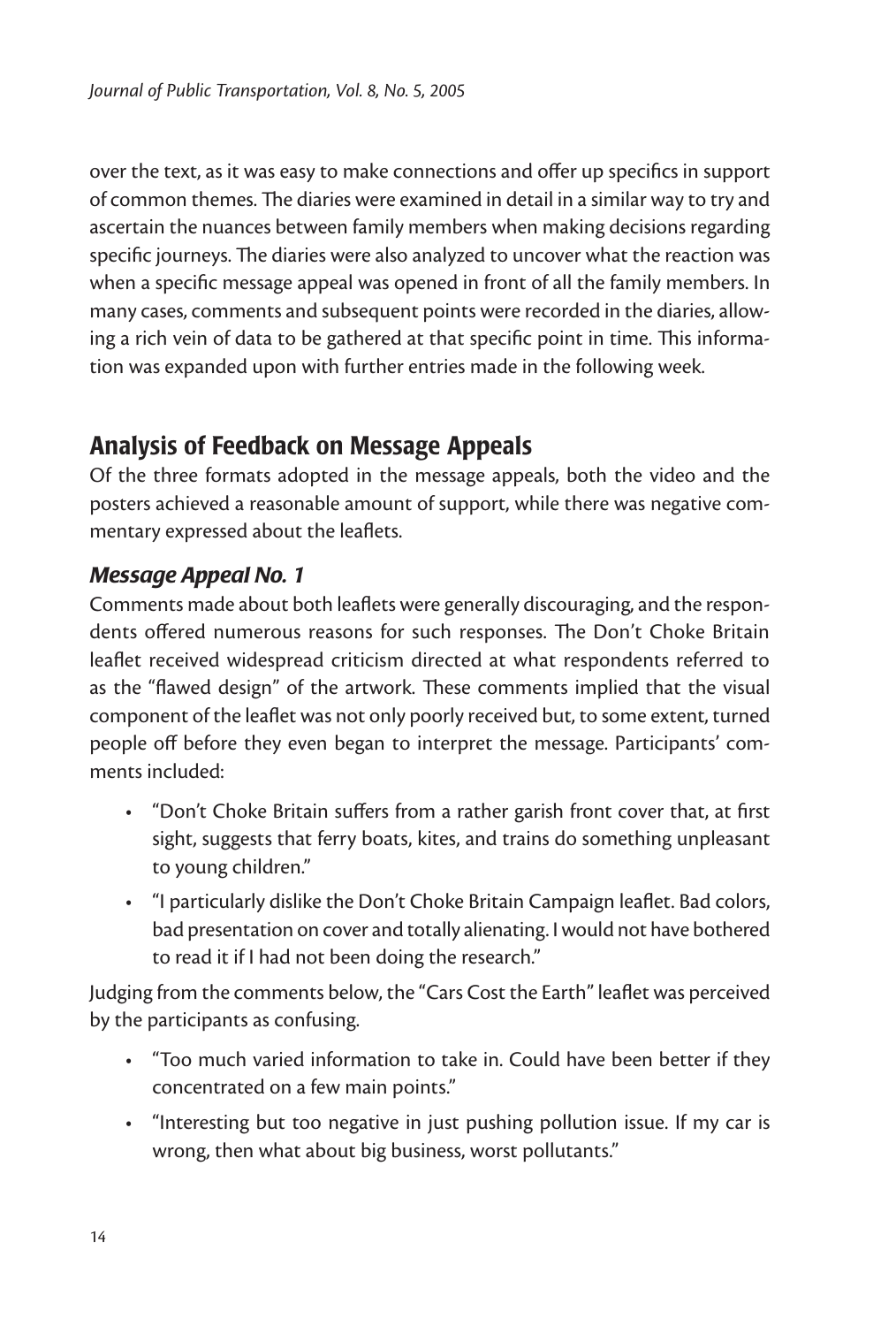over the text, as it was easy to make connections and offer up specifics in support of common themes. The diaries were examined in detail in a similar way to try and ascertain the nuances between family members when making decisions regarding specific journeys. The diaries were also analyzed to uncover what the reaction was when a specific message appeal was opened in front of all the family members. In many cases, comments and subsequent points were recorded in the diaries, allowing a rich vein of data to be gathered at that specific point in time. This information was expanded upon with further entries made in the following week.

## Analysis of Feedback on Message Appeals

Of the three formats adopted in the message appeals, both the video and the posters achieved a reasonable amount of support, while there was negative commentary expressed about the leaflets.

#### *Message Appeal No. 1*

Comments made about both leaflets were generally discouraging, and the respondents offered numerous reasons for such responses. The Don't Choke Britain leaflet received widespread criticism directed at what respondents referred to as the "flawed design" of the artwork. These comments implied that the visual component of the leaflet was not only poorly received but, to some extent, turned people off before they even began to interpret the message. Participants' comments included:

- "Don't Choke Britain suffers from a rather garish front cover that, at first sight, suggests that ferry boats, kites, and trains do something unpleasant to young children."
- "I particularly dislike the Don't Choke Britain Campaign leaflet. Bad colors, bad presentation on cover and totally alienating. I would not have bothered to read it if I had not been doing the research."

Judging from the comments below, the "Cars Cost the Earth" leaflet was perceived by the participants as confusing.

- "Too much varied information to take in. Could have been better if they concentrated on a few main points."
- "Interesting but too negative in just pushing pollution issue. If my car is wrong, then what about big business, worst pollutants."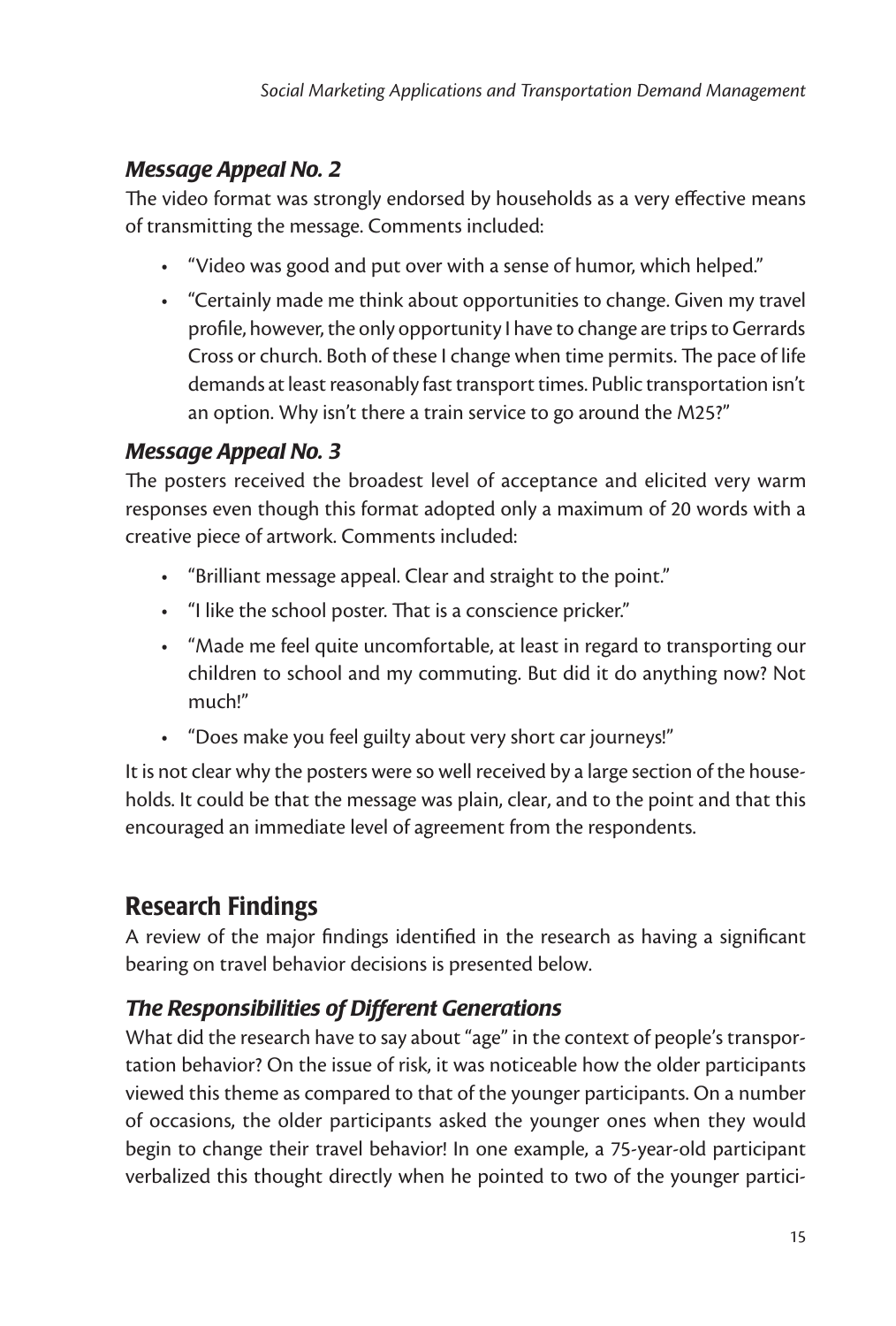#### *Message Appeal No. 2*

The video format was strongly endorsed by households as a very effective means of transmitting the message. Comments included:

- "Video was good and put over with a sense of humor, which helped."
- "Certainly made me think about opportunities to change. Given my travel profile, however, the only opportunity I have to change are trips to Gerrards Cross or church. Both of these I change when time permits. The pace of life demands at least reasonably fast transport times. Public transportation isn't an option. Why isn't there a train service to go around the M25?"

#### *Message Appeal No. 3*

The posters received the broadest level of acceptance and elicited very warm responses even though this format adopted only a maximum of 20 words with a creative piece of artwork. Comments included:

- "Brilliant message appeal. Clear and straight to the point."
- "I like the school poster. That is a conscience pricker."
- "Made me feel quite uncomfortable, at least in regard to transporting our children to school and my commuting. But did it do anything now? Not much!"
- "Does make you feel guilty about very short car journeys!"

It is not clear why the posters were so well received by a large section of the households. It could be that the message was plain, clear, and to the point and that this encouraged an immediate level of agreement from the respondents.

## Research Findings

A review of the major findings identified in the research as having a significant bearing on travel behavior decisions is presented below.

## *The Responsibilities of Different Generations*

What did the research have to say about "age" in the context of people's transportation behavior? On the issue of risk, it was noticeable how the older participants viewed this theme as compared to that of the younger participants. On a number of occasions, the older participants asked the younger ones when they would begin to change their travel behavior! In one example, a 75-year-old participant verbalized this thought directly when he pointed to two of the younger partici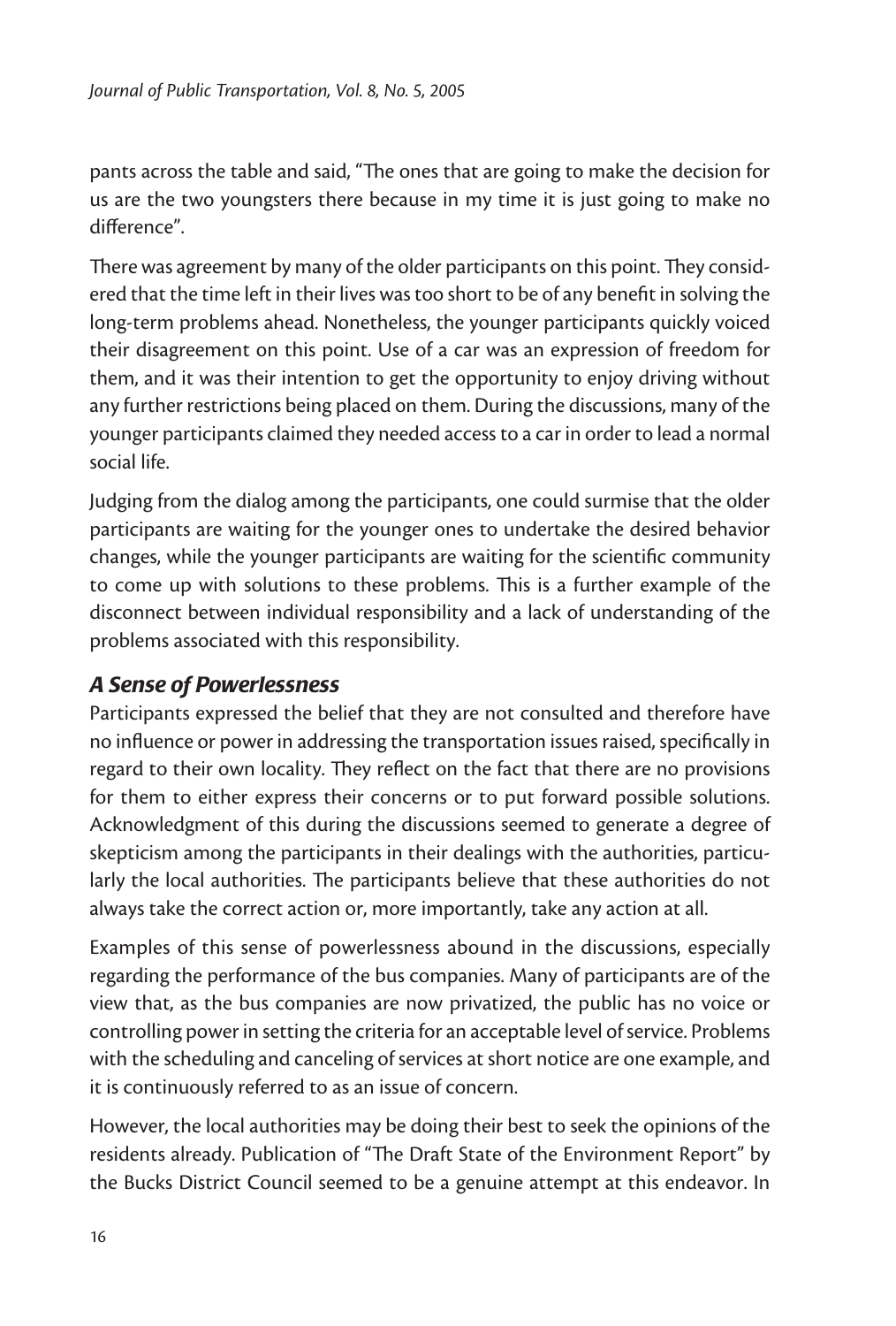pants across the table and said, "The ones that are going to make the decision for us are the two youngsters there because in my time it is just going to make no difference".

There was agreement by many of the older participants on this point. They considered that the time left in their lives was too short to be of any benefit in solving the long-term problems ahead. Nonetheless, the younger participants quickly voiced their disagreement on this point. Use of a car was an expression of freedom for them, and it was their intention to get the opportunity to enjoy driving without any further restrictions being placed on them. During the discussions, many of the younger participants claimed they needed access to a car in order to lead a normal social life.

Judging from the dialog among the participants, one could surmise that the older participants are waiting for the younger ones to undertake the desired behavior changes, while the younger participants are waiting for the scientific community to come up with solutions to these problems. This is a further example of the disconnect between individual responsibility and a lack of understanding of the problems associated with this responsibility.

#### *A Sense of Powerlessness*

Participants expressed the belief that they are not consulted and therefore have no influence or power in addressing the transportation issues raised, specifically in regard to their own locality. They reflect on the fact that there are no provisions for them to either express their concerns or to put forward possible solutions. Acknowledgment of this during the discussions seemed to generate a degree of skepticism among the participants in their dealings with the authorities, particularly the local authorities. The participants believe that these authorities do not always take the correct action or, more importantly, take any action at all.

Examples of this sense of powerlessness abound in the discussions, especially regarding the performance of the bus companies. Many of participants are of the view that, as the bus companies are now privatized, the public has no voice or controlling power in setting the criteria for an acceptable level of service. Problems with the scheduling and canceling of services at short notice are one example, and it is continuously referred to as an issue of concern.

However, the local authorities may be doing their best to seek the opinions of the residents already. Publication of "The Draft State of the Environment Report" by the Bucks District Council seemed to be a genuine attempt at this endeavor. In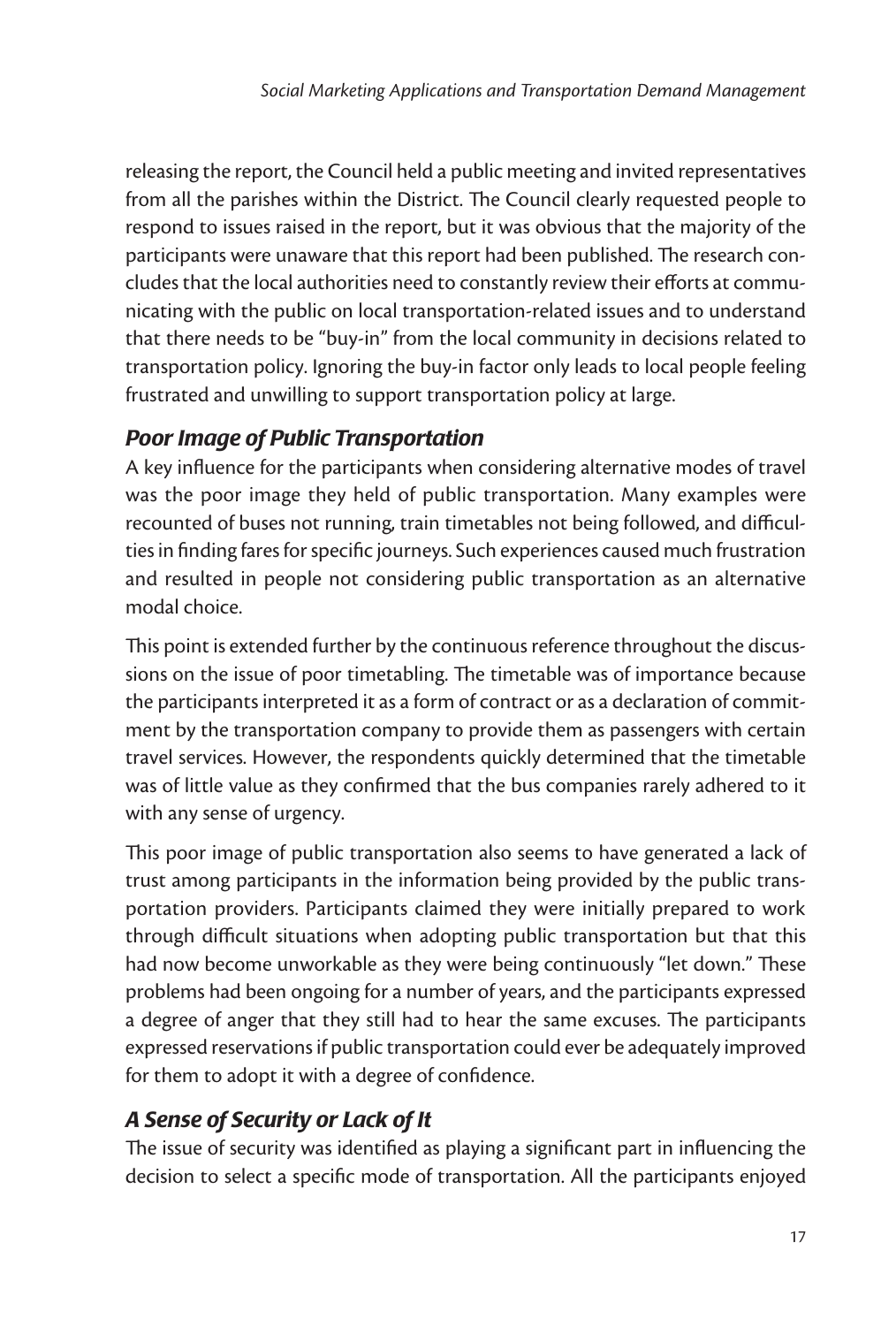releasing the report, the Council held a public meeting and invited representatives from all the parishes within the District. The Council clearly requested people to respond to issues raised in the report, but it was obvious that the majority of the participants were unaware that this report had been published. The research concludes that the local authorities need to constantly review their efforts at communicating with the public on local transportation-related issues and to understand that there needs to be "buy-in" from the local community in decisions related to transportation policy. Ignoring the buy-in factor only leads to local people feeling frustrated and unwilling to support transportation policy at large.

#### *Poor Image of Public Transportation*

A key influence for the participants when considering alternative modes of travel was the poor image they held of public transportation. Many examples were recounted of buses not running, train timetables not being followed, and difficulties in finding fares for specific journeys. Such experiences caused much frustration and resulted in people not considering public transportation as an alternative modal choice.

This point is extended further by the continuous reference throughout the discussions on the issue of poor timetabling. The timetable was of importance because the participants interpreted it as a form of contract or as a declaration of commitment by the transportation company to provide them as passengers with certain travel services. However, the respondents quickly determined that the timetable was of little value as they confirmed that the bus companies rarely adhered to it with any sense of urgency.

This poor image of public transportation also seems to have generated a lack of trust among participants in the information being provided by the public transportation providers. Participants claimed they were initially prepared to work through difficult situations when adopting public transportation but that this had now become unworkable as they were being continuously "let down." These problems had been ongoing for a number of years, and the participants expressed a degree of anger that they still had to hear the same excuses. The participants expressed reservations if public transportation could ever be adequately improved for them to adopt it with a degree of confidence.

#### *A Sense of Security or Lack of It*

The issue of security was identified as playing a significant part in influencing the decision to select a specific mode of transportation. All the participants enjoyed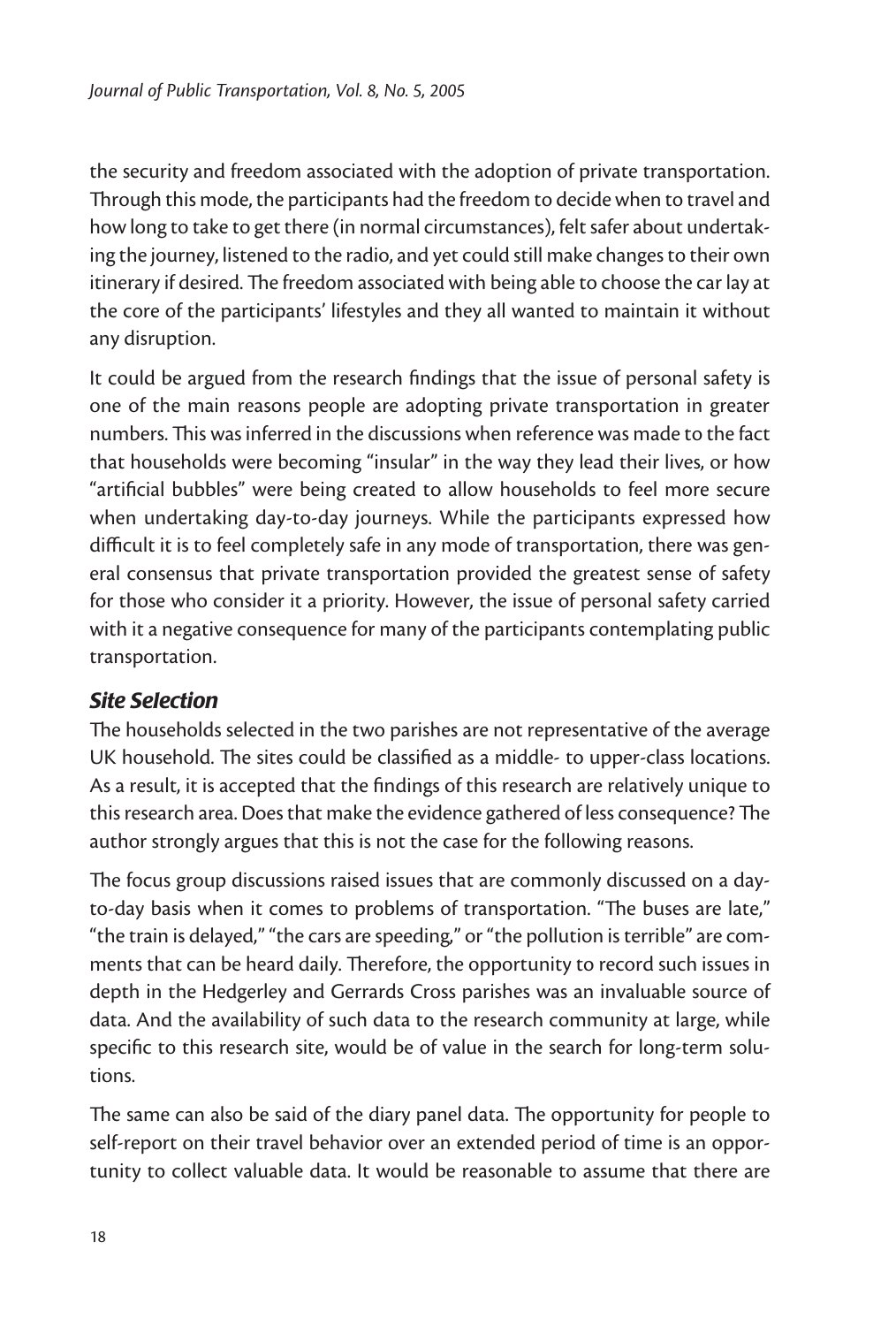the security and freedom associated with the adoption of private transportation. Through this mode, the participants had the freedom to decide when to travel and how long to take to get there (in normal circumstances), felt safer about undertaking the journey, listened to the radio, and yet could still make changes to their own itinerary if desired. The freedom associated with being able to choose the car lay at the core of the participants' lifestyles and they all wanted to maintain it without any disruption.

It could be argued from the research findings that the issue of personal safety is one of the main reasons people are adopting private transportation in greater numbers. This was inferred in the discussions when reference was made to the fact that households were becoming "insular" in the way they lead their lives, or how "artificial bubbles" were being created to allow households to feel more secure when undertaking day-to-day journeys. While the participants expressed how difficult it is to feel completely safe in any mode of transportation, there was general consensus that private transportation provided the greatest sense of safety for those who consider it a priority. However, the issue of personal safety carried with it a negative consequence for many of the participants contemplating public transportation.

#### *Site Selection*

The households selected in the two parishes are not representative of the average UK household. The sites could be classified as a middle- to upper-class locations. As a result, it is accepted that the findings of this research are relatively unique to this research area. Does that make the evidence gathered of less consequence? The author strongly argues that this is not the case for the following reasons.

The focus group discussions raised issues that are commonly discussed on a dayto-day basis when it comes to problems of transportation. "The buses are late," "the train is delayed," "the cars are speeding," or "the pollution is terrible" are comments that can be heard daily. Therefore, the opportunity to record such issues in depth in the Hedgerley and Gerrards Cross parishes was an invaluable source of data. And the availability of such data to the research community at large, while specific to this research site, would be of value in the search for long-term solutions.

The same can also be said of the diary panel data. The opportunity for people to self-report on their travel behavior over an extended period of time is an opportunity to collect valuable data. It would be reasonable to assume that there are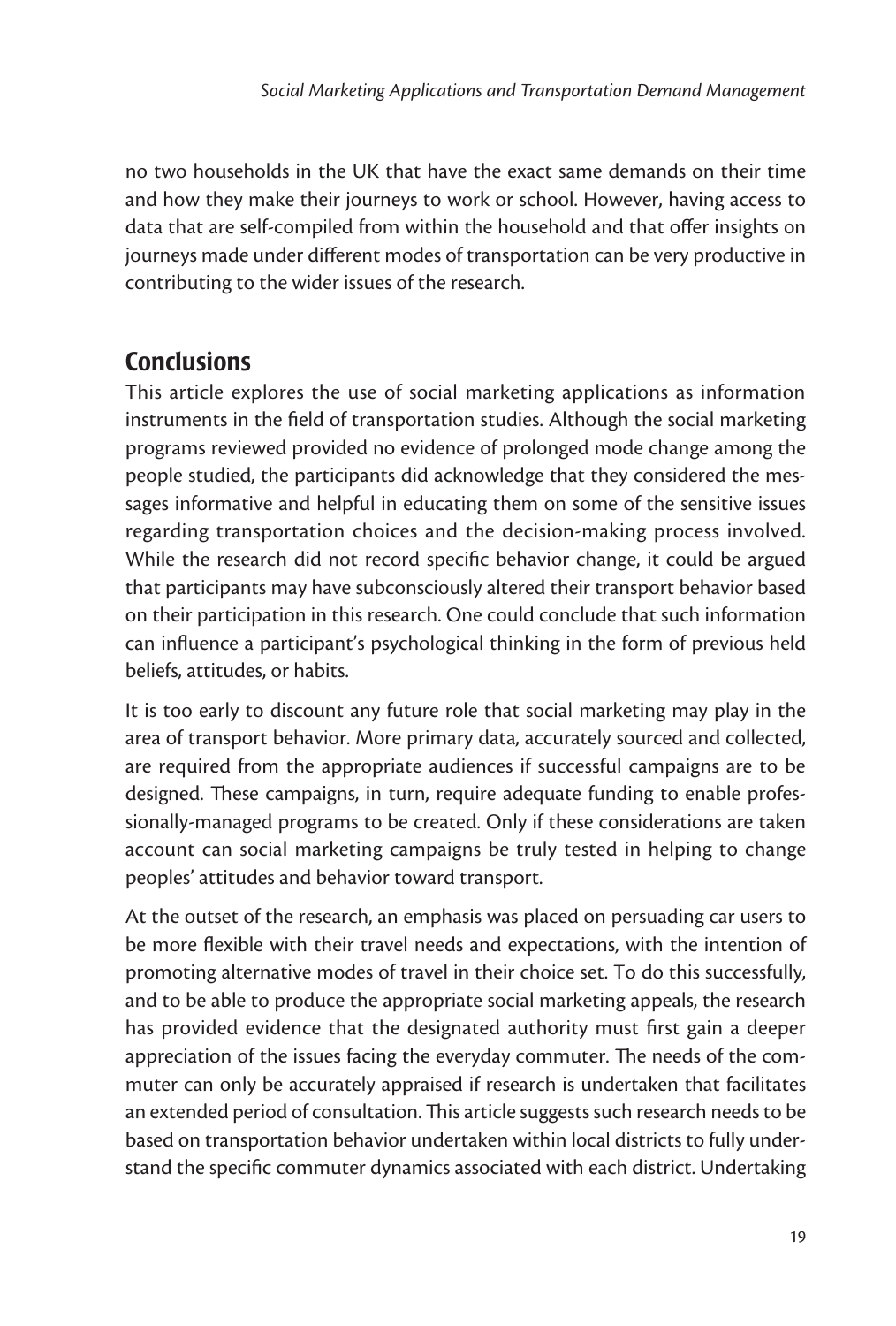no two households in the UK that have the exact same demands on their time and how they make their journeys to work or school. However, having access to data that are self-compiled from within the household and that offer insights on journeys made under different modes of transportation can be very productive in contributing to the wider issues of the research.

## **Conclusions**

This article explores the use of social marketing applications as information instruments in the field of transportation studies. Although the social marketing programs reviewed provided no evidence of prolonged mode change among the people studied, the participants did acknowledge that they considered the messages informative and helpful in educating them on some of the sensitive issues regarding transportation choices and the decision-making process involved. While the research did not record specific behavior change, it could be argued that participants may have subconsciously altered their transport behavior based on their participation in this research. One could conclude that such information can influence a participant's psychological thinking in the form of previous held beliefs, attitudes, or habits.

It is too early to discount any future role that social marketing may play in the area of transport behavior. More primary data, accurately sourced and collected, are required from the appropriate audiences if successful campaigns are to be designed. These campaigns, in turn, require adequate funding to enable professionally-managed programs to be created. Only if these considerations are taken account can social marketing campaigns be truly tested in helping to change peoples' attitudes and behavior toward transport.

At the outset of the research, an emphasis was placed on persuading car users to be more flexible with their travel needs and expectations, with the intention of promoting alternative modes of travel in their choice set. To do this successfully, and to be able to produce the appropriate social marketing appeals, the research has provided evidence that the designated authority must first gain a deeper appreciation of the issues facing the everyday commuter. The needs of the commuter can only be accurately appraised if research is undertaken that facilitates an extended period of consultation. This article suggests such research needs to be based on transportation behavior undertaken within local districts to fully understand the specific commuter dynamics associated with each district. Undertaking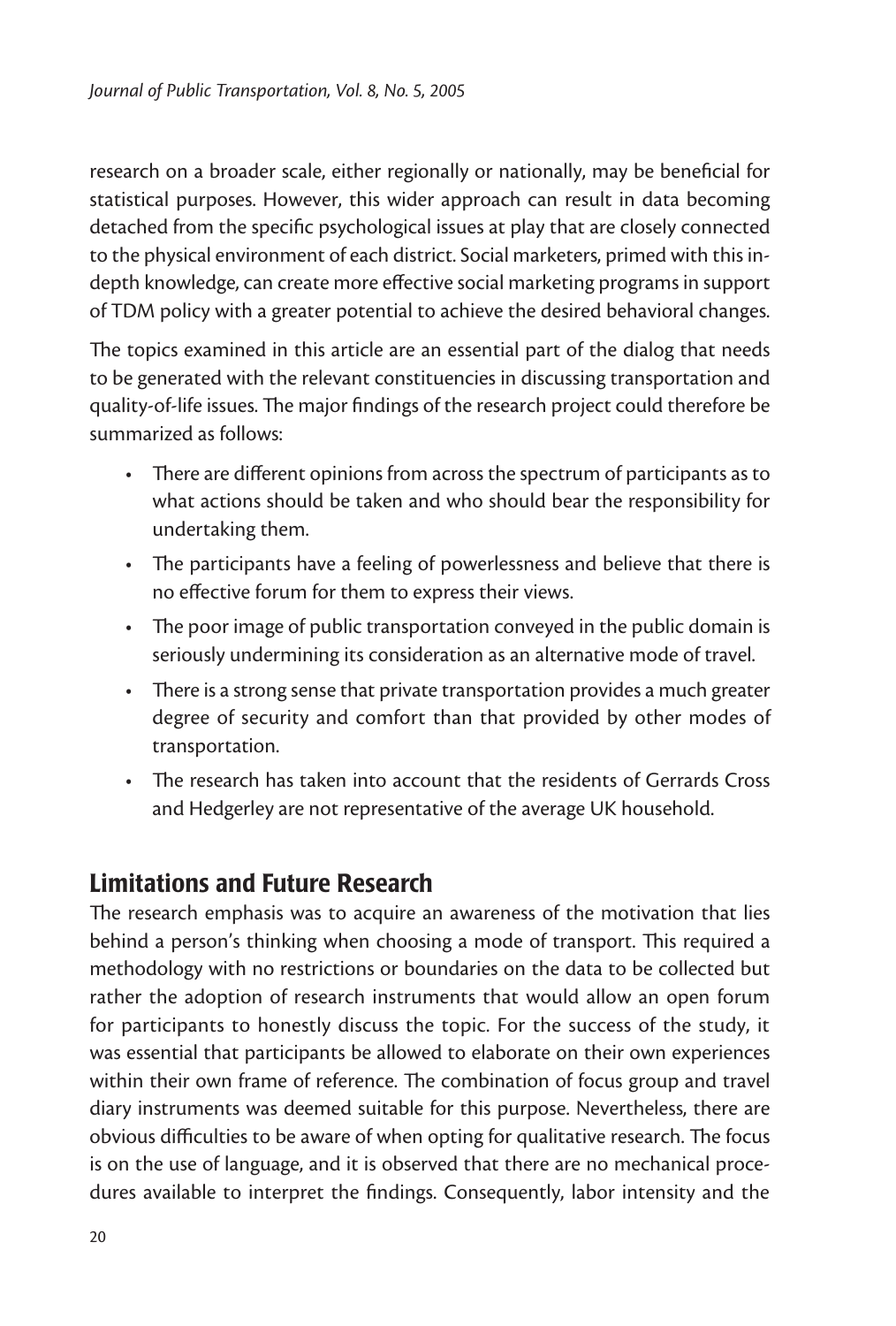research on a broader scale, either regionally or nationally, may be beneficial for statistical purposes. However, this wider approach can result in data becoming detached from the specific psychological issues at play that are closely connected to the physical environment of each district. Social marketers, primed with this indepth knowledge, can create more effective social marketing programs in support of TDM policy with a greater potential to achieve the desired behavioral changes.

The topics examined in this article are an essential part of the dialog that needs to be generated with the relevant constituencies in discussing transportation and quality-of-life issues. The major findings of the research project could therefore be summarized as follows:

- There are different opinions from across the spectrum of participants as to what actions should be taken and who should bear the responsibility for undertaking them.
- The participants have a feeling of powerlessness and believe that there is no effective forum for them to express their views.
- The poor image of public transportation conveyed in the public domain is seriously undermining its consideration as an alternative mode of travel.
- There is a strong sense that private transportation provides a much greater degree of security and comfort than that provided by other modes of transportation.
- The research has taken into account that the residents of Gerrards Cross and Hedgerley are not representative of the average UK household.

## Limitations and Future Research

The research emphasis was to acquire an awareness of the motivation that lies behind a person's thinking when choosing a mode of transport. This required a methodology with no restrictions or boundaries on the data to be collected but rather the adoption of research instruments that would allow an open forum for participants to honestly discuss the topic. For the success of the study, it was essential that participants be allowed to elaborate on their own experiences within their own frame of reference. The combination of focus group and travel diary instruments was deemed suitable for this purpose. Nevertheless, there are obvious difficulties to be aware of when opting for qualitative research. The focus is on the use of language, and it is observed that there are no mechanical procedures available to interpret the findings. Consequently, labor intensity and the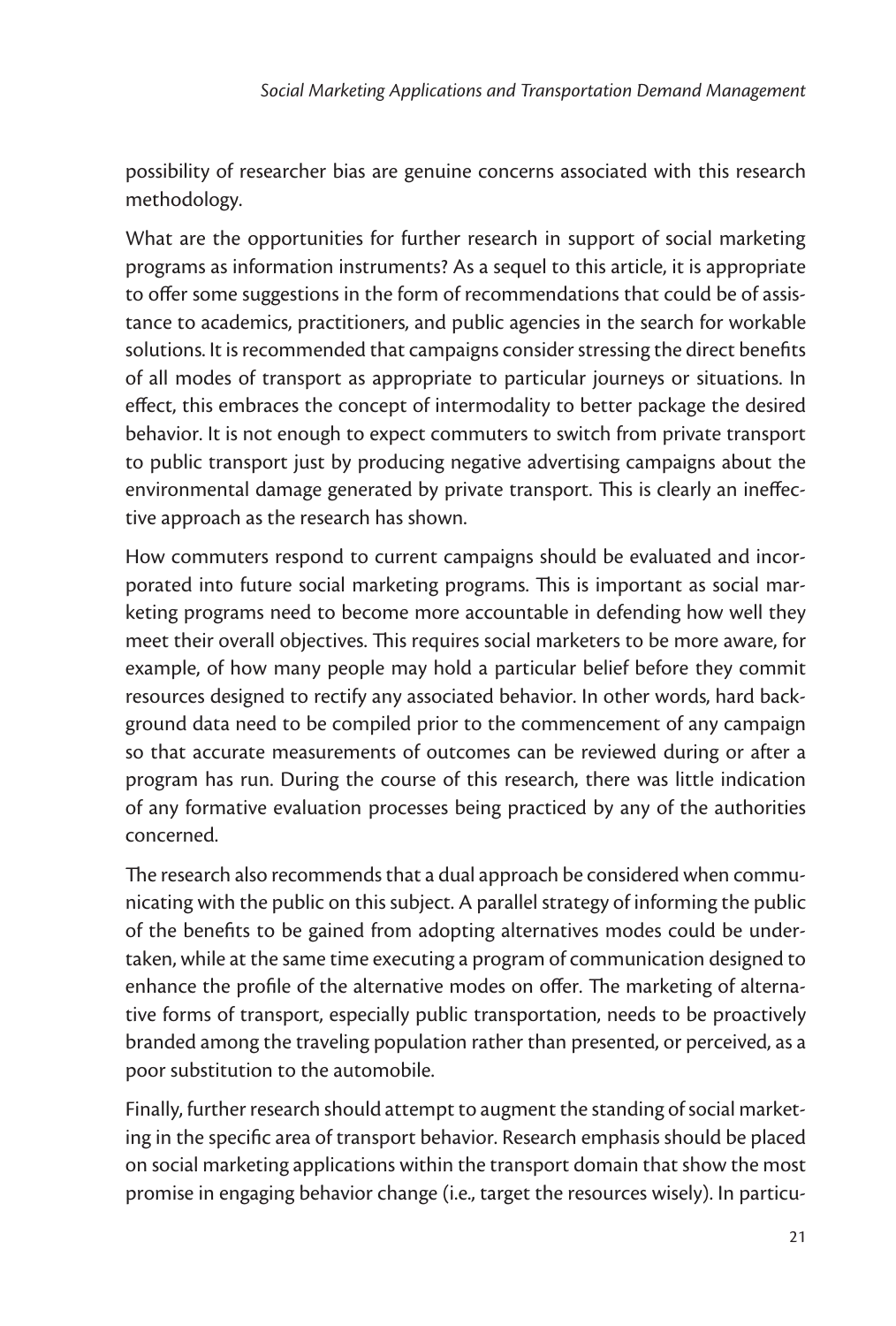possibility of researcher bias are genuine concerns associated with this research methodology.

What are the opportunities for further research in support of social marketing programs as information instruments? As a sequel to this article, it is appropriate to offer some suggestions in the form of recommendations that could be of assistance to academics, practitioners, and public agencies in the search for workable solutions. It is recommended that campaigns consider stressing the direct benefits of all modes of transport as appropriate to particular journeys or situations. In effect, this embraces the concept of intermodality to better package the desired behavior. It is not enough to expect commuters to switch from private transport to public transport just by producing negative advertising campaigns about the environmental damage generated by private transport. This is clearly an ineffective approach as the research has shown.

How commuters respond to current campaigns should be evaluated and incorporated into future social marketing programs. This is important as social marketing programs need to become more accountable in defending how well they meet their overall objectives. This requires social marketers to be more aware, for example, of how many people may hold a particular belief before they commit resources designed to rectify any associated behavior. In other words, hard background data need to be compiled prior to the commencement of any campaign so that accurate measurements of outcomes can be reviewed during or after a program has run. During the course of this research, there was little indication of any formative evaluation processes being practiced by any of the authorities concerned.

The research also recommends that a dual approach be considered when communicating with the public on this subject. A parallel strategy of informing the public of the benefits to be gained from adopting alternatives modes could be undertaken, while at the same time executing a program of communication designed to enhance the profile of the alternative modes on offer. The marketing of alternative forms of transport, especially public transportation, needs to be proactively branded among the traveling population rather than presented, or perceived, as a poor substitution to the automobile.

Finally, further research should attempt to augment the standing of social marketing in the specific area of transport behavior. Research emphasis should be placed on social marketing applications within the transport domain that show the most promise in engaging behavior change (i.e., target the resources wisely). In particu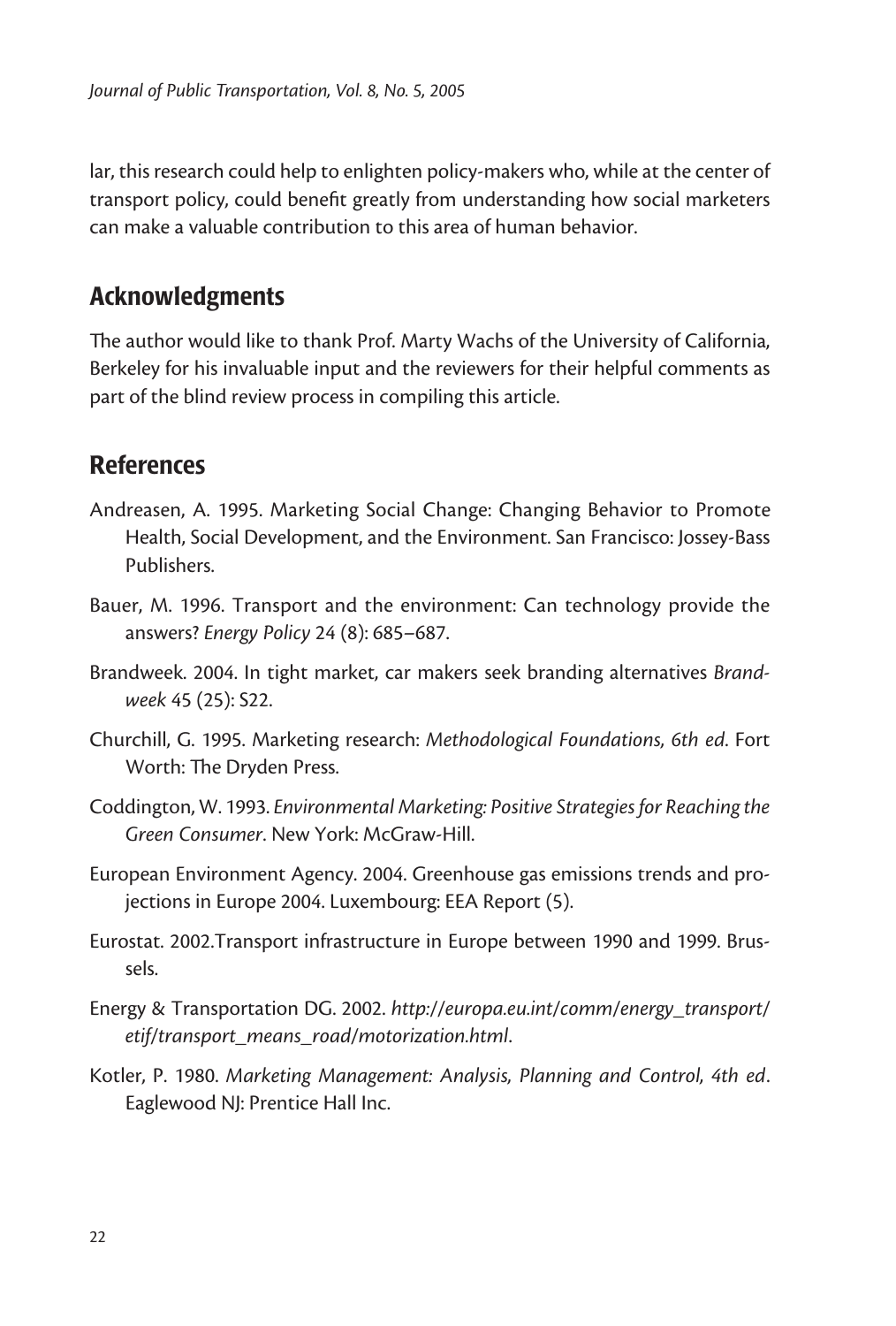lar, this research could help to enlighten policy-makers who, while at the center of transport policy, could benefit greatly from understanding how social marketers can make a valuable contribution to this area of human behavior.

## Acknowledgments

The author would like to thank Prof. Marty Wachs of the University of California, Berkeley for his invaluable input and the reviewers for their helpful comments as part of the blind review process in compiling this article.

## References

- Andreasen, A. 1995. Marketing Social Change: Changing Behavior to Promote Health, Social Development, and the Environment. San Francisco: Jossey-Bass Publishers.
- Bauer, M. 1996. Transport and the environment: Can technology provide the answers? *Energy Policy* 24 (8): 685–687.
- Brandweek. 2004. In tight market, car makers seek branding alternatives *Brandweek* 45 (25): S22.
- Churchill, G. 1995. Marketing research: *Methodological Foundations, 6th ed*. Fort Worth: The Dryden Press.
- Coddington, W. 1993. *Environmental Marketing: Positive Strategies for Reaching the Green Consumer*. New York: McGraw-Hill.
- European Environment Agency. 2004. Greenhouse gas emissions trends and projections in Europe 2004. Luxembourg: EEA Report (5).
- Eurostat. 2002.Transport infrastructure in Europe between 1990 and 1999. Brussels.
- Energy & Transportation DG. 2002. *http://europa.eu.int/comm/energy\_transport/ etif/transport\_means\_road/motorization.html*.
- Kotler, P. 1980. *Marketing Management: Analysis, Planning and Control, 4th ed*. Eaglewood NJ: Prentice Hall Inc.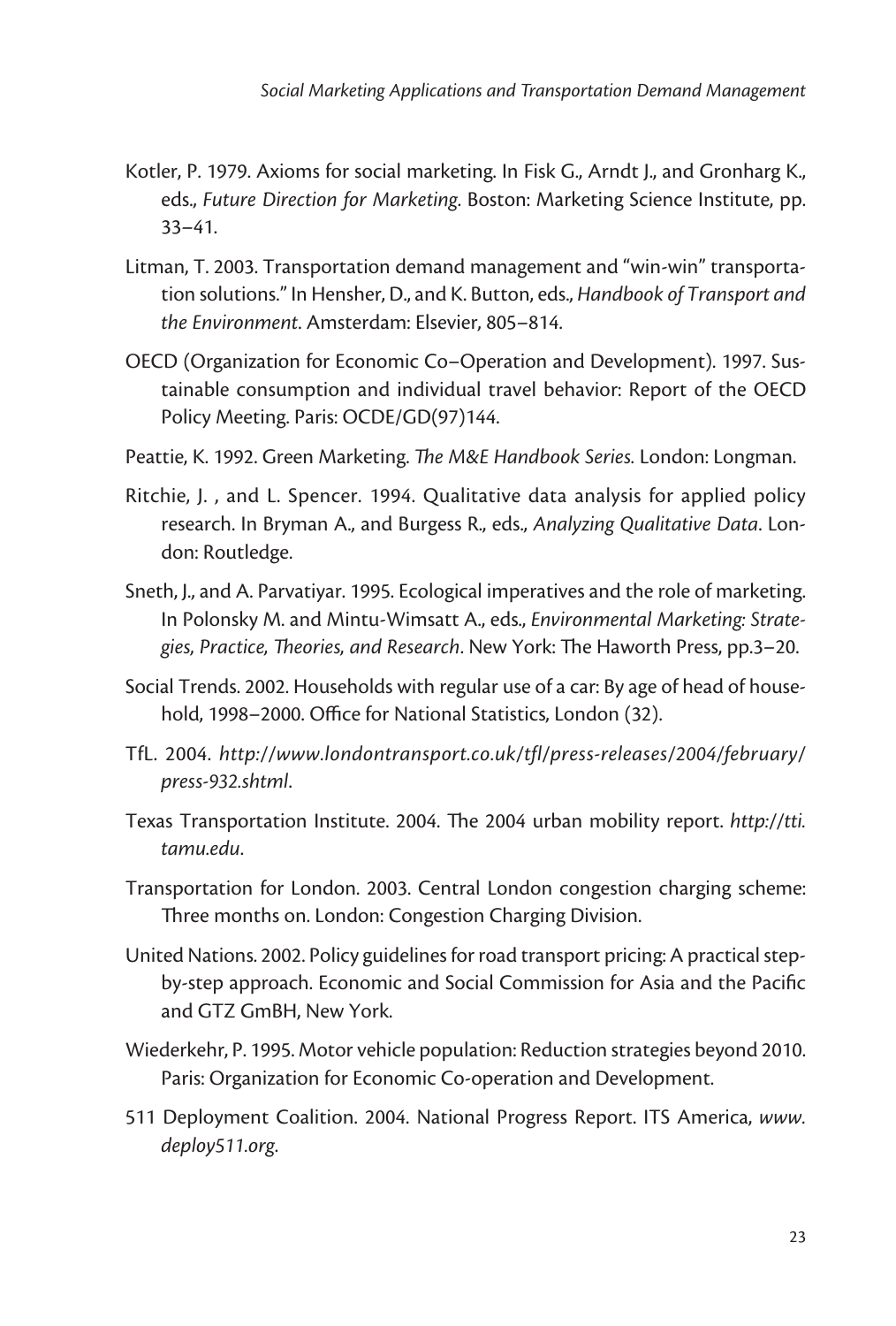- Kotler, P. 1979. Axioms for social marketing. In Fisk G., Arndt J., and Gronharg K., eds., *Future Direction for Marketing*. Boston: Marketing Science Institute, pp. 33–41.
- Litman, T. 2003. Transportation demand management and "win-win" transportation solutions." In Hensher, D., and K. Button, eds., *Handbook of Transport and the Environment*. Amsterdam: Elsevier, 805–814.
- OECD (Organization for Economic Co–Operation and Development). 1997. Sustainable consumption and individual travel behavior: Report of the OECD Policy Meeting. Paris: OCDE/GD(97)144.
- Peattie, K. 1992. Green Marketing. *The M&E Handbook Series.* London: Longman.
- Ritchie, J. , and L. Spencer. 1994. Qualitative data analysis for applied policy research. In Bryman A., and Burgess R., eds., *Analyzing Qualitative Data*. London: Routledge.
- Sneth, J., and A. Parvatiyar. 1995. Ecological imperatives and the role of marketing. In Polonsky M. and Mintu-Wimsatt A., eds., *Environmental Marketing: Strategies, Practice, Theories, and Research*. New York: The Haworth Press, pp.3–20.
- Social Trends. 2002. Households with regular use of a car: By age of head of household, 1998–2000. Office for National Statistics, London (32).
- TfL. 2004. *http://www.londontransport.co.uk/tfl/press-releases/2004/february/ press-932.shtml*.
- Texas Transportation Institute. 2004. The 2004 urban mobility report. *http://tti. tamu.edu*.
- Transportation for London. 2003. Central London congestion charging scheme: Three months on. London: Congestion Charging Division.
- United Nations. 2002. Policy guidelines for road transport pricing: A practical stepby-step approach. Economic and Social Commission for Asia and the Pacific and GTZ GmBH, New York.
- Wiederkehr, P. 1995. Motor vehicle population: Reduction strategies beyond 2010. Paris: Organization for Economic Co-operation and Development.
- 511 Deployment Coalition. 2004. National Progress Report. ITS America, *www. deploy511.org*.